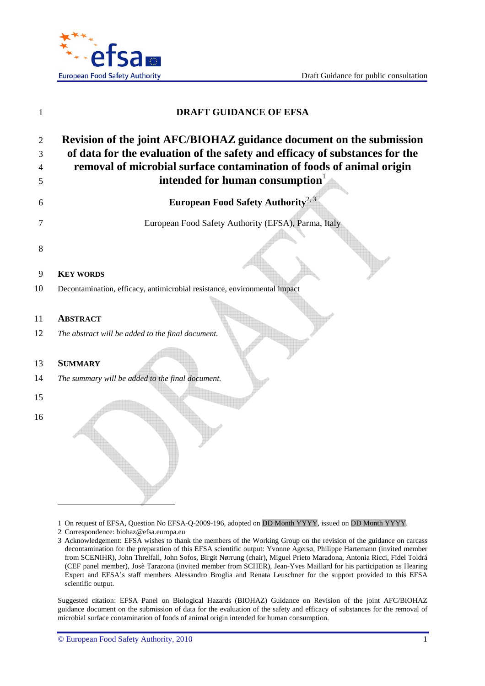



| $\mathbf{1}$                  | <b>DRAFT GUIDANCE OF EFSA</b>                                                                                                                                                                                                                                 |  |  |  |  |  |  |  |
|-------------------------------|---------------------------------------------------------------------------------------------------------------------------------------------------------------------------------------------------------------------------------------------------------------|--|--|--|--|--|--|--|
| $\overline{2}$<br>3<br>4<br>5 | Revision of the joint AFC/BIOHAZ guidance document on the submission<br>of data for the evaluation of the safety and efficacy of substances for the<br>removal of microbial surface contamination of foods of animal origin<br>intended for human consumption |  |  |  |  |  |  |  |
| 6                             | European Food Safety Authority <sup>2, 3</sup>                                                                                                                                                                                                                |  |  |  |  |  |  |  |
| 7                             | European Food Safety Authority (EFSA), Parma, Italy                                                                                                                                                                                                           |  |  |  |  |  |  |  |
| 8                             |                                                                                                                                                                                                                                                               |  |  |  |  |  |  |  |
| 9                             | <b>KEY WORDS</b>                                                                                                                                                                                                                                              |  |  |  |  |  |  |  |
| 10                            | Decontamination, efficacy, antimicrobial resistance, environmental impact                                                                                                                                                                                     |  |  |  |  |  |  |  |
| 11<br>12                      | <b>ABSTRACT</b><br>The abstract will be added to the final document.                                                                                                                                                                                          |  |  |  |  |  |  |  |
| 13                            | <b>SUMMARY</b>                                                                                                                                                                                                                                                |  |  |  |  |  |  |  |
| 14                            | The summary will be added to the final document.                                                                                                                                                                                                              |  |  |  |  |  |  |  |
| 15                            |                                                                                                                                                                                                                                                               |  |  |  |  |  |  |  |
| 16                            |                                                                                                                                                                                                                                                               |  |  |  |  |  |  |  |

1 On request of EFSA, Question No EFSA-Q-2009-196, adopted on DD Month YYYY, issued on DD Month YYYY.

Suggested citation: EFSA Panel on Biological Hazards (BIOHAZ) Guidance on Revision of the joint AFC/BIOHAZ guidance document on the submission of data for the evaluation of the safety and efficacy of substances for the removal of microbial surface contamination of foods of animal origin intended for human consumption.

<sup>2</sup> Correspondence: biohaz@efsa.europa.eu

<sup>3</sup> Acknowledgement: EFSA wishes to thank the members of the Working Group on the revision of the guidance on carcass decontamination for the preparation of this EFSA scientific output: Yvonne Agersø, Philippe Hartemann (invited member from SCENIHR), John Threlfall, John Sofos, Birgit Nørrung (chair), Miguel Prieto Maradona, Antonia Ricci, Fidel Toldrá (CEF panel member), Josè Tarazona (invited member from SCHER), Jean-Yves Maillard for his participation as Hearing Expert and EFSA's staff members Alessandro Broglia and Renata Leuschner for the support provided to this EFSA scientific output.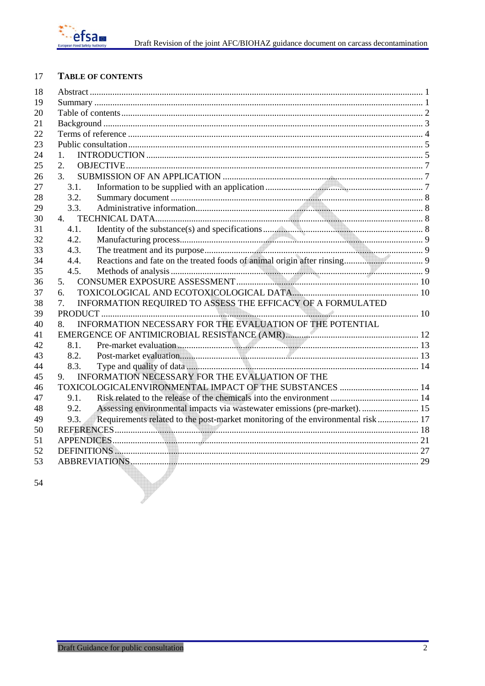

#### 17 TABLE OF CONTENTS

| 18 |                                                                                          |  |
|----|------------------------------------------------------------------------------------------|--|
| 19 |                                                                                          |  |
| 20 |                                                                                          |  |
| 21 |                                                                                          |  |
| 22 |                                                                                          |  |
| 23 |                                                                                          |  |
| 24 | $\mathbf{1}$ .                                                                           |  |
| 25 | 2.                                                                                       |  |
| 26 | 3.                                                                                       |  |
| 27 | 3.1.                                                                                     |  |
| 28 | 3.2.                                                                                     |  |
| 29 | 3.3.                                                                                     |  |
| 30 | 4.                                                                                       |  |
| 31 | 4.1.                                                                                     |  |
| 32 | 4.2.                                                                                     |  |
| 33 | 4.3.                                                                                     |  |
| 34 | 4.4.                                                                                     |  |
| 35 | 4.5.                                                                                     |  |
| 36 | 5.                                                                                       |  |
| 37 | 6.                                                                                       |  |
| 38 | INFORMATION REQUIRED TO ASSESS THE EFFICACY OF A FORMULATED<br>7.                        |  |
| 39 |                                                                                          |  |
| 40 | INFORMATION NECESSARY FOR THE EVALUATION OF THE POTENTIAL<br>8 <sup>1</sup>              |  |
| 41 |                                                                                          |  |
| 42 | 8.1.                                                                                     |  |
| 43 | 8.2.                                                                                     |  |
| 44 | 8.3.                                                                                     |  |
| 45 | 9.<br>INFORMATION NECESSARY FOR THE EVALUATION OF THE                                    |  |
| 46 | TOXICOLOGICALENVIRONMENTAL IMPACT OF THE SUBSTANCES  14                                  |  |
| 47 | 9.1.                                                                                     |  |
| 48 | 9.2.<br>Assessing environmental impacts via wastewater emissions (pre-market).  15       |  |
| 49 | Requirements related to the post-market monitoring of the environmental risk  17<br>9.3. |  |
| 50 |                                                                                          |  |
| 51 |                                                                                          |  |
| 52 |                                                                                          |  |
| 53 |                                                                                          |  |
|    |                                                                                          |  |
| 54 |                                                                                          |  |
|    |                                                                                          |  |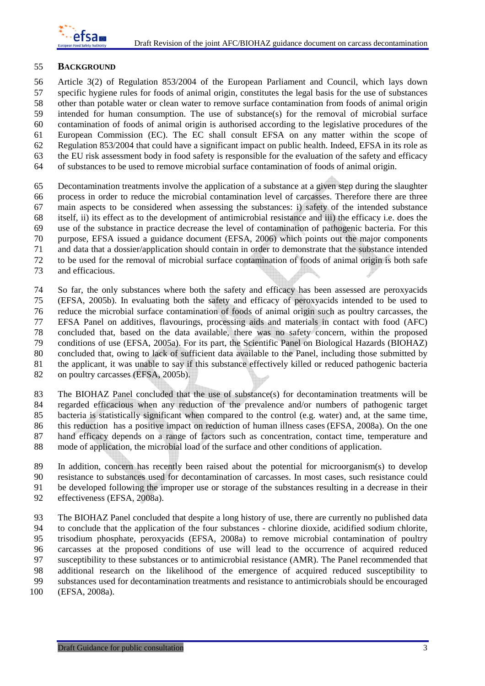

## 55 **BACKGROUND**

56 Article 3(2) of Regulation 853/2004 of the European Parliament and Council, which lays down 57 specific hygiene rules for foods of animal origin, constitutes the legal basis for the use of substances 58 other than potable water or clean water to remove surface contamination from foods of animal origin 59 intended for human consumption. The use of substance(s) for the removal of microbial surface 60 contamination of foods of animal origin is authorised according to the legislative procedures of the 61 European Commission (EC). The EC shall consult EFSA on any matter within the scope of 62 Regulation 853/2004 that could have a significant impact on public health. Indeed, EFSA in its role as 63 the EU risk assessment body in food safety is responsible for the evaluation of the safety and efficacy

- 64 of substances to be used to remove microbial surface contamination of foods of animal origin.
- 65 Decontamination treatments involve the application of a substance at a given step during the slaughter 66 process in order to reduce the microbial contamination level of carcasses. Therefore there are three 67 main aspects to be considered when assessing the substances: i) safety of the intended substance 68 itself, ii) its effect as to the development of antimicrobial resistance and iii) the efficacy i.e. does the 69 use of the substance in practice decrease the level of contamination of pathogenic bacteria. For this
- 70 purpose, EFSA issued a guidance document (EFSA, 2006) which points out the major components
- 71 and data that a dossier/application should contain in order to demonstrate that the substance intended
- 72 to be used for the removal of microbial surface contamination of foods of animal origin is both safe
- 73 and efficacious.

74 So far, the only substances where both the safety and efficacy has been assessed are peroxyacids 75 (EFSA, 2005b). In evaluating both the safety and efficacy of peroxyacids intended to be used to 76 reduce the microbial surface contamination of foods of animal origin such as poultry carcasses, the 77 EFSA Panel on additives, flavourings, processing aids and materials in contact with food (AFC) 78 concluded that, based on the data available, there was no safety concern, within the proposed 79 conditions of use (EFSA, 2005a). For its part, the Scientific Panel on Biological Hazards (BIOHAZ) 80 concluded that, owing to lack of sufficient data available to the Panel, including those submitted by 81 the applicant, it was unable to say if this substance effectively killed or reduced pathogenic bacteria 82 on poultry carcasses (EFSA, 2005b).

- 83 The BIOHAZ Panel concluded that the use of substance(s) for decontamination treatments will be 84 regarded efficacious when any reduction of the prevalence and/or numbers of pathogenic target 85 bacteria is statistically significant when compared to the control (e.g. water) and, at the same time, 86 this reduction has a positive impact on reduction of human illness cases (EFSA, 2008a). On the one 87 hand efficacy depends on a range of factors such as concentration, contact time, temperature and
- 88 mode of application, the microbial load of the surface and other conditions of application.
- 89 In addition, concern has recently been raised about the potential for microorganism(s) to develop 90 resistance to substances used for decontamination of carcasses. In most cases, such resistance could 91 be developed following the improper use or storage of the substances resulting in a decrease in their 92 effectiveness (EFSA, 2008a).
- 93 The BIOHAZ Panel concluded that despite a long history of use, there are currently no published data 94 to conclude that the application of the four substances - chlorine dioxide, acidified sodium chlorite, 95 trisodium phosphate, peroxyacids (EFSA, 2008a) to remove microbial contamination of poultry 96 carcasses at the proposed conditions of use will lead to the occurrence of acquired reduced 97 susceptibility to these substances or to antimicrobial resistance (AMR). The Panel recommended that 98 additional research on the likelihood of the emergence of acquired reduced susceptibility to 99 substances used for decontamination treatments and resistance to antimicrobials should be encouraged 100 (EFSA, 2008a).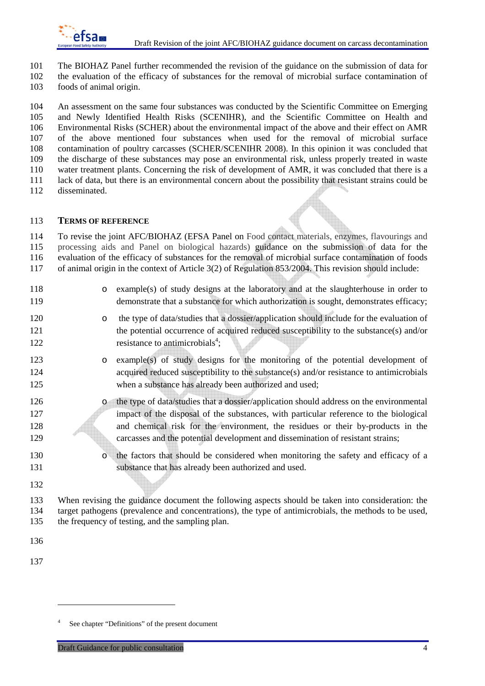

- 101 The BIOHAZ Panel further recommended the revision of the guidance on the submission of data for
- 102 the evaluation of the efficacy of substances for the removal of microbial surface contamination of
- 103 foods of animal origin.

104 An assessment on the same four substances was conducted by the Scientific Committee on Emerging 105 and Newly Identified Health Risks (SCENIHR), and the Scientific Committee on Health and 106 Environmental Risks (SCHER) about the environmental impact of the above and their effect on AMR 107 of the above mentioned four substances when used for the removal of microbial surface 108 contamination of poultry carcasses (SCHER/SCENIHR 2008). In this opinion it was concluded that 109 the discharge of these substances may pose an environmental risk, unless properly treated in waste 110 water treatment plants. Concerning the risk of development of AMR, it was concluded that there is a 111 lack of data, but there is an environmental concern about the possibility that resistant strains could be

112 disseminated.

## 113 **TERMS OF REFERENCE**

114 To revise the joint AFC/BIOHAZ (EFSA Panel on Food contact materials, enzymes, flavourings and 115 processing aids and Panel on biological hazards) guidance on the submission of data for the 116 evaluation of the efficacy of substances for the removal of microbial surface contamination of foods 117 of animal origin in the context of Article 3(2) of Regulation 853/2004. This revision should include:

- 
- 118 o example(s) of study designs at the laboratory and at the slaughterhouse in order to 119 demonstrate that a substance for which authorization is sought, demonstrates efficacy;
- 120 o the type of data/studies that a dossier/application should include for the evaluation of 121 the potential occurrence of acquired reduced susceptibility to the substance(s) and/or 122 resistance to antimicrobials<sup>4</sup>;
- 123 o example(s) of study designs for the monitoring of the potential development of 124 acquired reduced susceptibility to the substance(s) and/or resistance to antimicrobials 125 when a substance has already been authorized and used:
- 126 o the type of data/studies that a dossier/application should address on the environmental 127 impact of the disposal of the substances, with particular reference to the biological 128 and chemical risk for the environment, the residues or their by-products in the 129 carcasses and the potential development and dissemination of resistant strains;
- 130 o the factors that should be considered when monitoring the safety and efficacy of a 131 substance that has already been authorized and used.
- 132
- 133 When revising the guidance document the following aspects should be taken into consideration: the 134 target pathogens (prevalence and concentrations), the type of antimicrobials, the methods to be used, 135 the frequency of testing, and the sampling plan.
- 136
- 137

<sup>4</sup> See chapter "Definitions" of the present document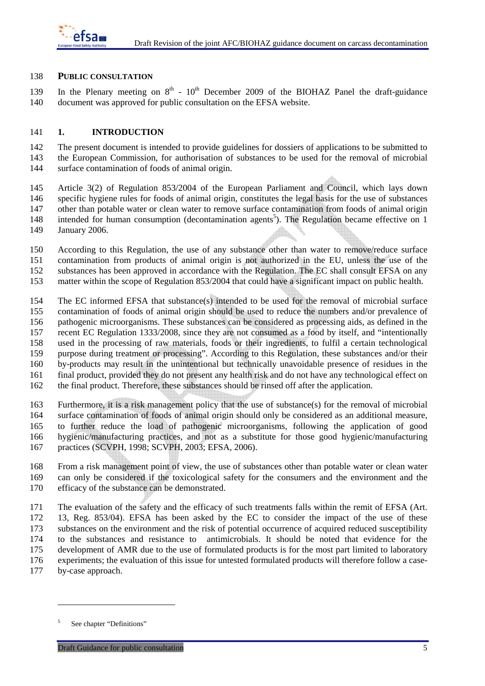

## 138 **PUBLIC CONSULTATION**

139 In the Plenary meeting on  $8<sup>th</sup>$  -  $10<sup>th</sup>$  December 2009 of the BIOHAZ Panel the draft-guidance 140 document was approved for public consultation on the EFSA website.

## 141 **1. INTRODUCTION**

142 The present document is intended to provide guidelines for dossiers of applications to be submitted to 143 the European Commission, for authorisation of substances to be used for the removal of microbial 144 surface contamination of foods of animal origin.

145 Article 3(2) of Regulation 853/2004 of the European Parliament and Council, which lays down

146 specific hygiene rules for foods of animal origin, constitutes the legal basis for the use of substances

147 other than potable water or clean water to remove surface contamination from foods of animal origin

- 148 intended for human consumption (decontamination agents<sup>5</sup>). The Regulation became effective on 1
- 149 January 2006.

150 According to this Regulation, the use of any substance other than water to remove/reduce surface 151 contamination from products of animal origin is not authorized in the EU, unless the use of the 152 substances has been approved in accordance with the Regulation. The EC shall consult EFSA on any

153 matter within the scope of Regulation 853/2004 that could have a significant impact on public health.

154 The EC informed EFSA that substance(s) intended to be used for the removal of microbial surface 155 contamination of foods of animal origin should be used to reduce the numbers and/or prevalence of 156 pathogenic microorganisms. These substances can be considered as processing aids, as defined in the 157 recent EC Regulation 1333/2008, since they are not consumed as a food by itself, and "intentionally

158 used in the processing of raw materials, foods or their ingredients, to fulfil a certain technological

159 purpose during treatment or processing". According to this Regulation, these substances and/or their

- 160 by-products may result in the unintentional but technically unavoidable presence of residues in the
- 161 final product, provided they do not present any health risk and do not have any technological effect on
- 162 the final product. Therefore, these substances should be rinsed off after the application.

163 Furthermore, it is a risk management policy that the use of substance(s) for the removal of microbial 164 surface contamination of foods of animal origin should only be considered as an additional measure, 165 to further reduce the load of pathogenic microorganisms, following the application of good 166 hygienic/manufacturing practices, and not as a substitute for those good hygienic/manufacturing 167 practices (SCVPH, 1998; SCVPH, 2003; EFSA, 2006).

168 From a risk management point of view, the use of substances other than potable water or clean water 169 can only be considered if the toxicological safety for the consumers and the environment and the 170 efficacy of the substance can be demonstrated.

171 The evaluation of the safety and the efficacy of such treatments falls within the remit of EFSA (Art. 172 13, Reg. 853/04). EFSA has been asked by the EC to consider the impact of the use of these 173 substances on the environment and the risk of potential occurrence of acquired reduced susceptibility 174 to the substances and resistance to antimicrobials. It should be noted that evidence for the 175 development of AMR due to the use of formulated products is for the most part limited to laboratory 176 experiments; the evaluation of this issue for untested formulated products will therefore follow a case-177 by-case approach.

<sup>5</sup> See chapter "Definitions"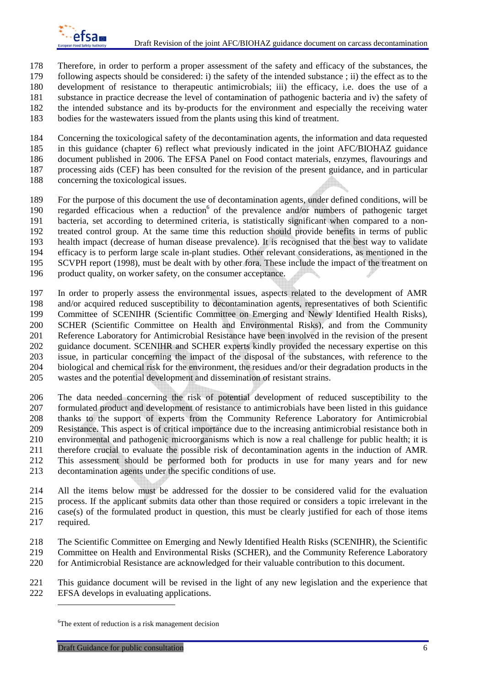

178 Therefore, in order to perform a proper assessment of the safety and efficacy of the substances, the 179 following aspects should be considered: i) the safety of the intended substance ; ii) the effect as to the 180 development of resistance to therapeutic antimicrobials; iii) the efficacy, i.e. does the use of a 181 substance in practice decrease the level of contamination of pathogenic bacteria and iv) the safety of 182 the intended substance and its by-products for the environment and especially the receiving water 183 bodies for the wastewaters issued from the plants using this kind of treatment.

184 Concerning the toxicological safety of the decontamination agents, the information and data requested 185 in this guidance (chapter 6) reflect what previously indicated in the joint AFC/BIOHAZ guidance 186 document published in 2006. The EFSA Panel on Food contact materials, enzymes, flavourings and 187 processing aids (CEF) has been consulted for the revision of the present guidance, and in particular 188 concerning the toxicological issues.

189 For the purpose of this document the use of decontamination agents, under defined conditions, will be 190 regarded efficacious when a reduction of the prevalence and/or numbers of pathogenic target 191 bacteria, set according to determined criteria, is statistically significant when compared to a non-192 treated control group. At the same time this reduction should provide benefits in terms of public 193 health impact (decrease of human disease prevalence). It is recognised that the best way to validate 194 efficacy is to perform large scale in-plant studies. Other relevant considerations, as mentioned in the 195 SCVPH report (1998), must be dealt with by other fora. These include the impact of the treatment on 196 product quality, on worker safety, on the consumer acceptance.

197 In order to properly assess the environmental issues, aspects related to the development of AMR 198 and/or acquired reduced susceptibility to decontamination agents, representatives of both Scientific 199 Committee of SCENIHR (Scientific Committee on Emerging and Newly Identified Health Risks), 200 SCHER (Scientific Committee on Health and Environmental Risks), and from the Community 201 Reference Laboratory for Antimicrobial Resistance have been involved in the revision of the present 202 guidance document. SCENIHR and SCHER experts kindly provided the necessary expertise on this 203 issue, in particular concerning the impact of the disposal of the substances, with reference to the 204 biological and chemical risk for the environment, the residues and/or their degradation products in the 205 wastes and the potential development and dissemination of resistant strains.

206 The data needed concerning the risk of potential development of reduced susceptibility to the 207 formulated product and development of resistance to antimicrobials have been listed in this guidance 208 thanks to the support of experts from the Community Reference Laboratory for Antimicrobial 209 Resistance. This aspect is of critical importance due to the increasing antimicrobial resistance both in 210 environmental and pathogenic microorganisms which is now a real challenge for public health; it is 211 therefore crucial to evaluate the possible risk of decontamination agents in the induction of AMR. 212 This assessment should be performed both for products in use for many years and for new 213 decontamination agents under the specific conditions of use.

214 All the items below must be addressed for the dossier to be considered valid for the evaluation 215 process. If the applicant submits data other than those required or considers a topic irrelevant in the 216 case(s) of the formulated product in question, this must be clearly justified for each of those items 217 required.

- 218 The Scientific Committee on Emerging and Newly Identified Health Risks (SCENIHR), the Scientific
- 219 Committee on Health and Environmental Risks (SCHER), and the Community Reference Laboratory
- 220 for Antimicrobial Resistance are acknowledged for their valuable contribution to this document.

221 This guidance document will be revised in the light of any new legislation and the experience that 222 EFSA develops in evaluating applications.

<sup>&</sup>lt;sup>6</sup>The extent of reduction is a risk management decision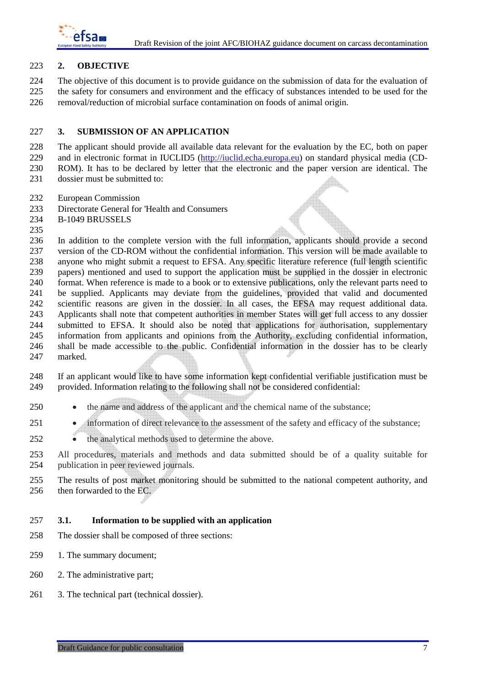

## 223 **2. OBJECTIVE**

224 The objective of this document is to provide guidance on the submission of data for the evaluation of 225 the safety for consumers and environment and the efficacy of substances intended to be used for the 226 removal/reduction of microbial surface contamination on foods of animal origin.

## 227 **3. SUBMISSION OF AN APPLICATION**

228 The applicant should provide all available data relevant for the evaluation by the EC, both on paper

229 and in electronic format in IUCLID5 (http://iuclid.echa.europa.eu) on standard physical media (CD-

- 230 ROM). It has to be declared by letter that the electronic and the paper version are identical. The
- 231 dossier must be submitted to:
- 232 European Commission
- 233 Directorate General for 'Health and Consumers
- 234 B-1049 BRUSSELS
- 235

236 In addition to the complete version with the full information, applicants should provide a second 237 version of the CD-ROM without the confidential information. This version will be made available to 238 anyone who might submit a request to EFSA. Any specific literature reference (full length scientific 239 papers) mentioned and used to support the application must be supplied in the dossier in electronic 240 format. When reference is made to a book or to extensive publications, only the relevant parts need to 241 be supplied. Applicants may deviate from the guidelines, provided that valid and documented 242 scientific reasons are given in the dossier. In all cases, the EFSA may request additional data. 243 Applicants shall note that competent authorities in member States will get full access to any dossier 244 submitted to EFSA. It should also be noted that applications for authorisation, supplementary 245 information from applicants and opinions from the Authority, excluding confidential information, 246 shall be made accessible to the public. Confidential information in the dossier has to be clearly 247 marked.

- 248 If an applicant would like to have some information kept confidential verifiable justification must be 249 provided. Information relating to the following shall not be considered confidential:
- 250 the name and address of the applicant and the chemical name of the substance;
- 251 information of direct relevance to the assessment of the safety and efficacy of the substance;
- 252 the analytical methods used to determine the above.

253 All procedures, materials and methods and data submitted should be of a quality suitable for 254 publication in peer reviewed journals.

255 The results of post market monitoring should be submitted to the national competent authority, and 256 then forwarded to the EC.

## 257 **3.1. Information to be supplied with an application**

- 258 The dossier shall be composed of three sections:
- 259 1. The summary document;
- 260 2. The administrative part;
- 261 3. The technical part (technical dossier).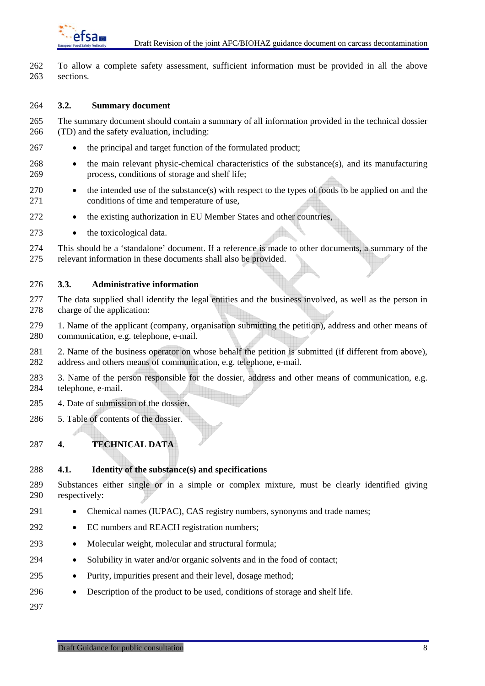

262 To allow a complete safety assessment, sufficient information must be provided in all the above 263 sections.

## 264 **3.2. Summary document**

- 265 The summary document should contain a summary of all information provided in the technical dossier 266 (TD) and the safety evaluation, including:
- 267 the principal and target function of the formulated product:
- 268 the main relevant physic-chemical characteristics of the substance(s), and its manufacturing 269 process, conditions of storage and shelf life;
- 270 the intended use of the substance(s) with respect to the types of foods to be applied on and the 271 conditions of time and temperature of use,
- 272 the existing authorization in EU Member States and other countries,
- 273 the toxicological data.

274 This should be a 'standalone' document. If a reference is made to other documents, a summary of the 275 relevant information in these documents shall also be provided.

#### 276 **3.3. Administrative information**

- 277 The data supplied shall identify the legal entities and the business involved, as well as the person in 278 charge of the application:
- 279 1. Name of the applicant (company, organisation submitting the petition), address and other means of 280 communication, e.g. telephone, e-mail.
- 281 2. Name of the business operator on whose behalf the petition is submitted (if different from above), 282 address and others means of communication, e.g. telephone, e-mail.
- 283 3. Name of the person responsible for the dossier, address and other means of communication, e.g. 284 telephone, e-mail.
- 285 4. Date of submission of the dossier.
- 286 5. Table of contents of the dossier.
- 287 **4. TECHNICAL DATA**
- 288 **4.1. Identity of the substance(s) and specifications**
- 289 Substances either single or in a simple or complex mixture, must be clearly identified giving 290 respectively:
- 291 Chemical names (IUPAC), CAS registry numbers, synonyms and trade names;
- 292 EC numbers and REACH registration numbers;
- 293 Molecular weight, molecular and structural formula;
- 294 Solubility in water and/or organic solvents and in the food of contact;
- 295 Purity, impurities present and their level, dosage method;
- 296 Description of the product to be used, conditions of storage and shelf life.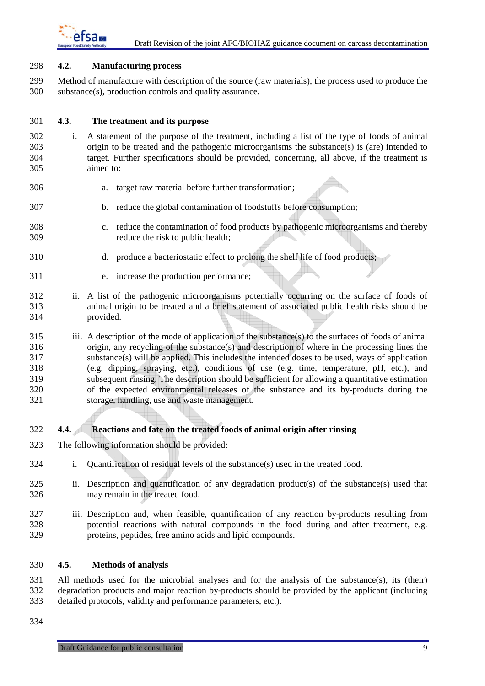# efsam

## 298 **4.2. Manufacturing process**

299 Method of manufacture with description of the source (raw materials), the process used to produce the 300 substance(s), production controls and quality assurance.

## 301 **4.3. The treatment and its purpose**

- 302 i. A statement of the purpose of the treatment, including a list of the type of foods of animal 303 origin to be treated and the pathogenic microorganisms the substance(s) is (are) intended to 304 target. Further specifications should be provided, concerning, all above, if the treatment is 305 aimed to:
- 306 a. target raw material before further transformation;
- 307 b. reduce the global contamination of foodstuffs before consumption;
- 308 c. reduce the contamination of food products by pathogenic microorganisms and thereby 309 reduce the risk to public health;
- 310 d. produce a bacteriostatic effect to prolong the shelf life of food products;
- 311 e. increase the production performance;
- 312 ii. A list of the pathogenic microorganisms potentially occurring on the surface of foods of 313 animal origin to be treated and a brief statement of associated public health risks should be 314 provided.
- 315 iii. A description of the mode of application of the substance(s) to the surfaces of foods of animal 316 origin, any recycling of the substance(s) and description of where in the processing lines the 317 substance(s) will be applied. This includes the intended doses to be used, ways of application 318 (e.g. dipping, spraying, etc.), conditions of use (e.g. time, temperature, pH, etc.), and 319 subsequent rinsing. The description should be sufficient for allowing a quantitative estimation 320 of the expected environmental releases of the substance and its by-products during the 321 storage, handling, use and waste management.

## 322 **4.4. Reactions and fate on the treated foods of animal origin after rinsing**

- 323 The following information should be provided:
- 324 i. Quantification of residual levels of the substance(s) used in the treated food.
- 325 ii. Description and quantification of any degradation product(s) of the substance(s) used that 326 may remain in the treated food.
- 327 iii. Description and, when feasible, quantification of any reaction by-products resulting from 328 potential reactions with natural compounds in the food during and after treatment, e.g. 329 proteins, peptides, free amino acids and lipid compounds.

## 330 **4.5. Methods of analysis**

331 All methods used for the microbial analyses and for the analysis of the substance(s), its (their) 332 degradation products and major reaction by-products should be provided by the applicant (including 333 detailed protocols, validity and performance parameters, etc.).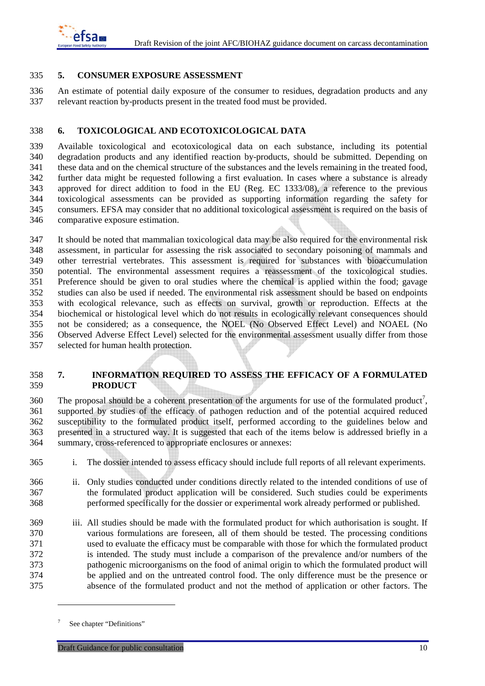

## 335 **5. CONSUMER EXPOSURE ASSESSMENT**

336 An estimate of potential daily exposure of the consumer to residues, degradation products and any 337 relevant reaction by-products present in the treated food must be provided.

## 338 **6. TOXICOLOGICAL AND ECOTOXICOLOGICAL DATA**

339 Available toxicological and ecotoxicological data on each substance, including its potential 340 degradation products and any identified reaction by-products, should be submitted. Depending on 341 these data and on the chemical structure of the substances and the levels remaining in the treated food, 342 further data might be requested following a first evaluation. In cases where a substance is already 343 approved for direct addition to food in the EU (Reg. EC 1333/08), a reference to the previous 344 toxicological assessments can be provided as supporting information regarding the safety for 345 consumers. EFSA may consider that no additional toxicological assessment is required on the basis of 346 comparative exposure estimation.

347 It should be noted that mammalian toxicological data may be also required for the environmental risk 348 assessment, in particular for assessing the risk associated to secondary poisoning of mammals and 349 other terrestrial vertebrates. This assessment is required for substances with bioaccumulation 350 potential. The environmental assessment requires a reassessment of the toxicological studies. 351 Preference should be given to oral studies where the chemical is applied within the food; gavage 352 studies can also be used if needed. The environmental risk assessment should be based on endpoints 353 with ecological relevance, such as effects on survival, growth or reproduction. Effects at the 354 biochemical or histological level which do not results in ecologically relevant consequences should 355 not be considered; as a consequence, the NOEL (No Observed Effect Level) and NOAEL (No 356 Observed Adverse Effect Level) selected for the environmental assessment usually differ from those 357 selected for human health protection.

## 358 **7. INFORMATION REQUIRED TO ASSESS THE EFFICACY OF A FORMULATED**  359 **PRODUCT**

The proposal should be a coherent presentation of the arguments for use of the formulated product<sup>7</sup>, 361 supported by studies of the efficacy of pathogen reduction and of the potential acquired reduced 362 susceptibility to the formulated product itself, performed according to the guidelines below and 363 presented in a structured way. It is suggested that each of the items below is addressed briefly in a 364 summary, cross-referenced to appropriate enclosures or annexes:

- 365 i. The dossier intended to assess efficacy should include full reports of all relevant experiments.
- 366 ii. Only studies conducted under conditions directly related to the intended conditions of use of 367 the formulated product application will be considered. Such studies could be experiments 368 performed specifically for the dossier or experimental work already performed or published.
- 369 iii. All studies should be made with the formulated product for which authorisation is sought. If 370 various formulations are foreseen, all of them should be tested. The processing conditions 371 used to evaluate the efficacy must be comparable with those for which the formulated product 372 is intended. The study must include a comparison of the prevalence and/or numbers of the 373 pathogenic microorganisms on the food of animal origin to which the formulated product will 374 be applied and on the untreated control food. The only difference must be the presence or 375 absence of the formulated product and not the method of application or other factors. The

<sup>7</sup> See chapter "Definitions"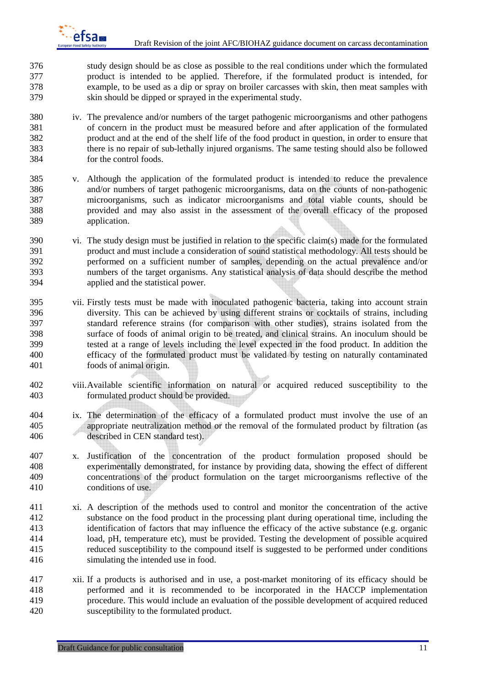

376 study design should be as close as possible to the real conditions under which the formulated 377 product is intended to be applied. Therefore, if the formulated product is intended, for 378 example, to be used as a dip or spray on broiler carcasses with skin, then meat samples with 379 skin should be dipped or sprayed in the experimental study.

- 380 iv. The prevalence and/or numbers of the target pathogenic microorganisms and other pathogens 381 of concern in the product must be measured before and after application of the formulated 382 product and at the end of the shelf life of the food product in question, in order to ensure that 383 there is no repair of sub-lethally injured organisms. The same testing should also be followed 384 for the control foods.
- 385 v. Although the application of the formulated product is intended to reduce the prevalence 386 and/or numbers of target pathogenic microorganisms, data on the counts of non-pathogenic 387 microorganisms, such as indicator microorganisms and total viable counts, should be 388 provided and may also assist in the assessment of the overall efficacy of the proposed 389 application.
- 390 vi. The study design must be justified in relation to the specific claim(s) made for the formulated 391 product and must include a consideration of sound statistical methodology. All tests should be 392 performed on a sufficient number of samples, depending on the actual prevalence and/or 393 numbers of the target organisms. Any statistical analysis of data should describe the method 394 applied and the statistical power.
- 395 vii. Firstly tests must be made with inoculated pathogenic bacteria, taking into account strain 396 diversity. This can be achieved by using different strains or cocktails of strains, including 397 standard reference strains (for comparison with other studies), strains isolated from the 398 surface of foods of animal origin to be treated, and clinical strains. An inoculum should be 399 tested at a range of levels including the level expected in the food product. In addition the 400 efficacy of the formulated product must be validated by testing on naturally contaminated 401 foods of animal origin.
- 402 viii.Available scientific information on natural or acquired reduced susceptibility to the 403 formulated product should be provided.
- 404 ix. The determination of the efficacy of a formulated product must involve the use of an 405 appropriate neutralization method or the removal of the formulated product by filtration (as 406 described in CEN standard test).
- 407 x. Justification of the concentration of the product formulation proposed should be 408 experimentally demonstrated, for instance by providing data, showing the effect of different 409 concentrations of the product formulation on the target microorganisms reflective of the 410 conditions of use.
- 411 xi. A description of the methods used to control and monitor the concentration of the active 412 substance on the food product in the processing plant during operational time, including the 413 identification of factors that may influence the efficacy of the active substance (e.g. organic 414 load, pH, temperature etc), must be provided. Testing the development of possible acquired 415 reduced susceptibility to the compound itself is suggested to be performed under conditions 416 simulating the intended use in food.
- 417 xii. If a products is authorised and in use, a post-market monitoring of its efficacy should be 418 performed and it is recommended to be incorporated in the HACCP implementation 419 procedure. This would include an evaluation of the possible development of acquired reduced 420 susceptibility to the formulated product.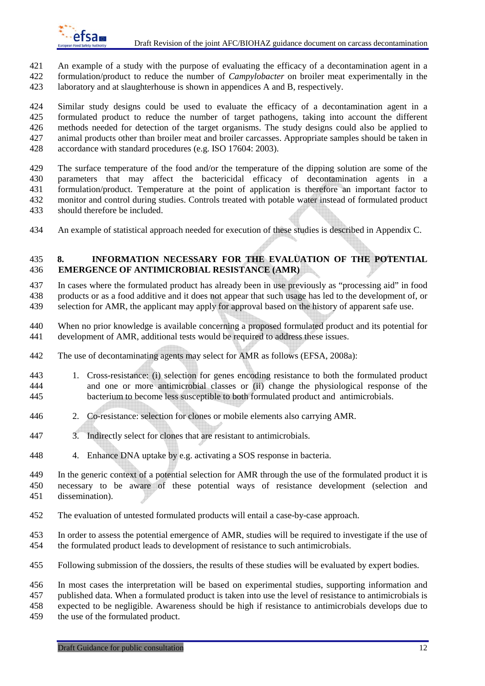

- 421 An example of a study with the purpose of evaluating the efficacy of a decontamination agent in a
- 422 formulation/product to reduce the number of *Campylobacter* on broiler meat experimentally in the
- 423 laboratory and at slaughterhouse is shown in appendices A and B, respectively.

424 Similar study designs could be used to evaluate the efficacy of a decontamination agent in a 425 formulated product to reduce the number of target pathogens, taking into account the different 426 methods needed for detection of the target organisms. The study designs could also be applied to 427 animal products other than broiler meat and broiler carcasses. Appropriate samples should be taken in 428 accordance with standard procedures (e.g. ISO 17604: 2003).

429 The surface temperature of the food and/or the temperature of the dipping solution are some of the 430 parameters that may affect the bactericidal efficacy of decontamination agents in a 431 formulation/product. Temperature at the point of application is therefore an important factor to 432 monitor and control during studies. Controls treated with potable water instead of formulated product 433 should therefore be included.

434 An example of statistical approach needed for execution of these studies is described in Appendix C.

## 435 **8. INFORMATION NECESSARY FOR THE EVALUATION OF THE POTENTIAL**  436 **EMERGENCE OF ANTIMICROBIAL RESISTANCE (AMR)**

437 In cases where the formulated product has already been in use previously as "processing aid" in food

438 products or as a food additive and it does not appear that such usage has led to the development of, or

- 439 selection for AMR, the applicant may apply for approval based on the history of apparent safe use.
- 440 When no prior knowledge is available concerning a proposed formulated product and its potential for 441 development of AMR, additional tests would be required to address these issues.
- 442 The use of decontaminating agents may select for AMR as follows (EFSA, 2008a):
- 443 1. Cross-resistance: (i) selection for genes encoding resistance to both the formulated product 444 and one or more antimicrobial classes or (ii) change the physiological response of the 445 bacterium to become less susceptible to both formulated product and antimicrobials.
- 446 2. Co-resistance: selection for clones or mobile elements also carrying AMR.
- 447 3. Indirectly select for clones that are resistant to antimicrobials.
- 448 4. Enhance DNA uptake by e.g. activating a SOS response in bacteria.

449 In the generic context of a potential selection for AMR through the use of the formulated product it is 450 necessary to be aware of these potential ways of resistance development (selection and 451 dissemination).

- 452 The evaluation of untested formulated products will entail a case-by-case approach.
- 453 In order to assess the potential emergence of AMR, studies will be required to investigate if the use of 454 the formulated product leads to development of resistance to such antimicrobials.
- 455 Following submission of the dossiers, the results of these studies will be evaluated by expert bodies.

456 In most cases the interpretation will be based on experimental studies, supporting information and

457 published data. When a formulated product is taken into use the level of resistance to antimicrobials is

458 expected to be negligible. Awareness should be high if resistance to antimicrobials develops due to

459 the use of the formulated product.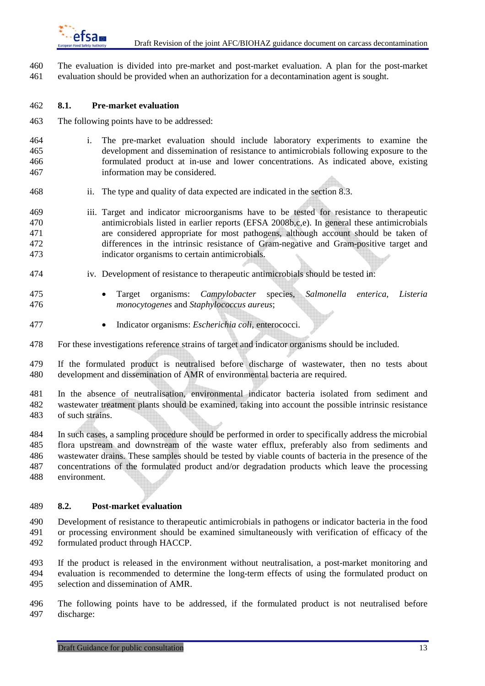

460 The evaluation is divided into pre-market and post-market evaluation. A plan for the post-market 461 evaluation should be provided when an authorization for a decontamination agent is sought.

## 462 **8.1. Pre-market evaluation**

- 463 The following points have to be addressed:
- 464 i. The pre-market evaluation should include laboratory experiments to examine the 465 development and dissemination of resistance to antimicrobials following exposure to the 466 formulated product at in-use and lower concentrations. As indicated above, existing 467 information may be considered.
- 468 ii. The type and quality of data expected are indicated in the section 8.3.
- 469 iii. Target and indicator microorganisms have to be tested for resistance to therapeutic 470 antimicrobials listed in earlier reports (EFSA 2008b,c,e). In general these antimicrobials 471 are considered appropriate for most pathogens, although account should be taken of 472 differences in the intrinsic resistance of Gram-negative and Gram-positive target and 473 indicator organisms to certain antimicrobials.
- 474 iv. Development of resistance to therapeutic antimicrobials should be tested in:
- 475 Target organisms: *Campylobacter* species, *Salmonella enterica*, *Listeria*  476 *monocytogenes* and *Staphylococcus aureus*;
- 477 Indicator organisms: *Escherichia coli*, enterococci.
- 478 For these investigations reference strains of target and indicator organisms should be included.
- 479 If the formulated product is neutralised before discharge of wastewater, then no tests about 480 development and dissemination of AMR of environmental bacteria are required.
- 481 In the absence of neutralisation, environmental indicator bacteria isolated from sediment and 482 wastewater treatment plants should be examined, taking into account the possible intrinsic resistance 483 of such strains.
- 484 In such cases, a sampling procedure should be performed in order to specifically address the microbial 485 flora upstream and downstream of the waste water efflux, preferably also from sediments and 486 wastewater drains. These samples should be tested by viable counts of bacteria in the presence of the 487 concentrations of the formulated product and/or degradation products which leave the processing 488 environment.

## 489 **8.2. Post-market evaluation**

- 490 Development of resistance to therapeutic antimicrobials in pathogens or indicator bacteria in the food 491 or processing environment should be examined simultaneously with verification of efficacy of the 492 formulated product through HACCP.
- 493 If the product is released in the environment without neutralisation, a post-market monitoring and 494 evaluation is recommended to determine the long-term effects of using the formulated product on 495 selection and dissemination of AMR.
- 496 The following points have to be addressed, if the formulated product is not neutralised before 497 discharge: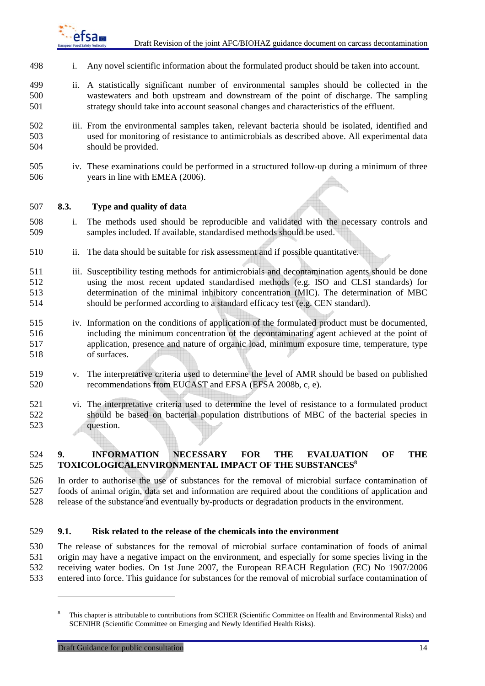

- 498 i. Any novel scientific information about the formulated product should be taken into account.
- 499 ii. A statistically significant number of environmental samples should be collected in the 500 wastewaters and both upstream and downstream of the point of discharge. The sampling 501 strategy should take into account seasonal changes and characteristics of the effluent.
- 502 iii. From the environmental samples taken, relevant bacteria should be isolated, identified and 503 used for monitoring of resistance to antimicrobials as described above. All experimental data 504 should be provided.
- 505 iv. These examinations could be performed in a structured follow-up during a minimum of three 506 years in line with EMEA (2006).

## 507 **8.3. Type and quality of data**

- 508 i. The methods used should be reproducible and validated with the necessary controls and 509 samples included. If available, standardised methods should be used.
- 510 ii. The data should be suitable for risk assessment and if possible quantitative.
- 511 iii. Susceptibility testing methods for antimicrobials and decontamination agents should be done 512 using the most recent updated standardised methods (e.g. ISO and CLSI standards) for 513 determination of the minimal inhibitory concentration (MIC). The determination of MBC 514 should be performed according to a standard efficacy test (e.g. CEN standard).
- 515 iv. Information on the conditions of application of the formulated product must be documented, 516 including the minimum concentration of the decontaminating agent achieved at the point of 517 application, presence and nature of organic load, minimum exposure time, temperature, type 518 of surfaces.
- 519 v. The interpretative criteria used to determine the level of AMR should be based on published 520 recommendations from EUCAST and EFSA (EFSA 2008b, c, e).
- 521 vi. The interpretative criteria used to determine the level of resistance to a formulated product 522 should be based on bacterial population distributions of MBC of the bacterial species in 523 question.

## 524 **9. INFORMATION NECESSARY FOR THE EVALUATION OF THE TOXICOLOGICALENVIRONMENTAL IMPACT OF THE SUBSTANCES8** 525

526 In order to authorise the use of substances for the removal of microbial surface contamination of 527 foods of animal origin, data set and information are required about the conditions of application and 528 release of the substance and eventually by-products or degradation products in the environment.

## 529 **9.1. Risk related to the release of the chemicals into the environment**

530 The release of substances for the removal of microbial surface contamination of foods of animal 531 origin may have a negative impact on the environment, and especially for some species living in the 532 receiving water bodies. On 1st June 2007, the European REACH Regulation (EC) No 1907/2006 533 entered into force. This guidance for substances for the removal of microbial surface contamination of

 $\overline{\phantom{a}}$ 

<sup>8</sup> This chapter is attributable to contributions from SCHER (Scientific Committee on Health and Environmental Risks) and SCENIHR (Scientific Committee on Emerging and Newly Identified Health Risks).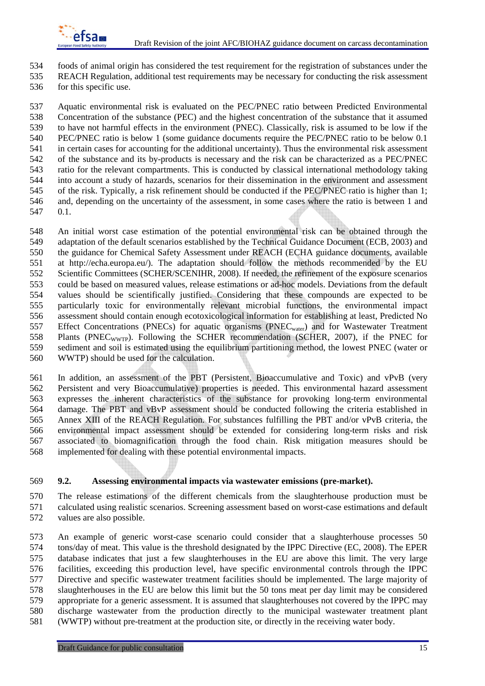

- 534 foods of animal origin has considered the test requirement for the registration of substances under the
- 535 REACH Regulation, additional test requirements may be necessary for conducting the risk assessment
- 536 for this specific use.

537 Aquatic environmental risk is evaluated on the PEC/PNEC ratio between Predicted Environmental 538 Concentration of the substance (PEC) and the highest concentration of the substance that it assumed 539 to have not harmful effects in the environment (PNEC). Classically, risk is assumed to be low if the 540 PEC/PNEC ratio is below 1 (some guidance documents require the PEC/PNEC ratio to be below 0.1 541 in certain cases for accounting for the additional uncertainty). Thus the environmental risk assessment 542 of the substance and its by-products is necessary and the risk can be characterized as a PEC/PNEC 543 ratio for the relevant compartments. This is conducted by classical international methodology taking 544 into account a study of hazards, scenarios for their dissemination in the environment and assessment 545 of the risk. Typically, a risk refinement should be conducted if the PEC/PNEC ratio is higher than 1; 546 and, depending on the uncertainty of the assessment, in some cases where the ratio is between 1 and 547 0.1.

548 An initial worst case estimation of the potential environmental risk can be obtained through the 549 adaptation of the default scenarios established by the Technical Guidance Document (ECB, 2003) and 550 the guidance for Chemical Safety Assessment under REACH (ECHA guidance documents, available 551 at http://echa.europa.eu/). The adaptation should follow the methods recommended by the EU 552 Scientific Committees (SCHER/SCENIHR, 2008). If needed, the refinement of the exposure scenarios 553 could be based on measured values, release estimations or ad-hoc models. Deviations from the default 554 values should be scientifically justified. Considering that these compounds are expected to be 555 particularly toxic for environmentally relevant microbial functions, the environmental impact 556 assessment should contain enough ecotoxicological information for establishing at least, Predicted No 557 Effect Concentrations (PNECs) for aquatic organisms (PNECwater) and for Wastewater Treatment 558 Plants (PNEC<sub>WWTP</sub>). Following the SCHER recommendation (SCHER, 2007), if the PNEC for 559 sediment and soil is estimated using the equilibrium partitioning method, the lowest PNEC (water or 560 WWTP) should be used for the calculation.

561 In addition, an assessment of the PBT (Persistent, Bioaccumulative and Toxic) and vPvB (very 562 Persistent and very Bioaccumulative) properties is needed. This environmental hazard assessment 563 expresses the inherent characteristics of the substance for provoking long-term environmental 564 damage. The PBT and vBvP assessment should be conducted following the criteria established in 565 Annex XIII of the REACH Regulation. For substances fulfilling the PBT and/or vPvB criteria, the 566 environmental impact assessment should be extended for considering long-term risks and risk 567 associated to biomagnification through the food chain. Risk mitigation measures should be 568 implemented for dealing with these potential environmental impacts.

## 569 **9.2. Assessing environmental impacts via wastewater emissions (pre-market).**

570 The release estimations of the different chemicals from the slaughterhouse production must be 571 calculated using realistic scenarios. Screening assessment based on worst-case estimations and default 572 values are also possible.

573 An example of generic worst-case scenario could consider that a slaughterhouse processes 50 574 tons/day of meat. This value is the threshold designated by the IPPC Directive (EC, 2008). The EPER 575 database indicates that just a few slaughterhouses in the EU are above this limit. The very large 576 facilities, exceeding this production level, have specific environmental controls through the IPPC 577 Directive and specific wastewater treatment facilities should be implemented. The large majority of 578 slaughterhouses in the EU are below this limit but the 50 tons meat per day limit may be considered 579 appropriate for a generic assessment. It is assumed that slaughterhouses not covered by the IPPC may 580 discharge wastewater from the production directly to the municipal wastewater treatment plant 581 (WWTP) without pre-treatment at the production site, or directly in the receiving water body.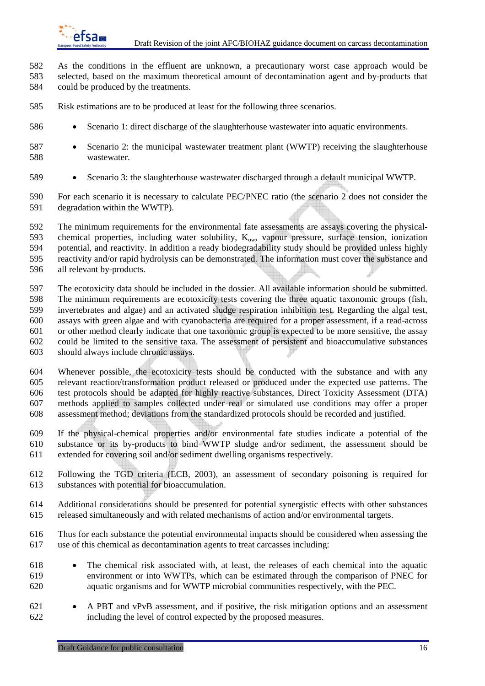

- 582 As the conditions in the effluent are unknown, a precautionary worst case approach would be 583 selected, based on the maximum theoretical amount of decontamination agent and by-products that 584 could be produced by the treatments.
- 585 Risk estimations are to be produced at least for the following three scenarios.
- 586 Scenario 1: direct discharge of the slaughterhouse wastewater into aquatic environments.
- 587 Scenario 2: the municipal wastewater treatment plant (WWTP) receiving the slaughterhouse 588 wastewater.
- 589 Scenario 3: the slaughterhouse wastewater discharged through a default municipal WWTP.
- 590 For each scenario it is necessary to calculate PEC/PNEC ratio (the scenario 2 does not consider the 591 degradation within the WWTP).
- 592 The minimum requirements for the environmental fate assessments are assays covering the physical-593 chemical properties, including water solubility,  $K_{ow}$ , vapour pressure, surface tension, ionization 594 potential, and reactivity. In addition a ready biodegradability study should be provided unless highly 595 reactivity and/or rapid hydrolysis can be demonstrated. The information must cover the substance and 596 all relevant by-products.
- 597 The ecotoxicity data should be included in the dossier. All available information should be submitted. 598 The minimum requirements are ecotoxicity tests covering the three aquatic taxonomic groups (fish, 599 invertebrates and algae) and an activated sludge respiration inhibition test. Regarding the algal test, 600 assays with green algae and with cyanobacteria are required for a proper assessment, if a read-across 601 or other method clearly indicate that one taxonomic group is expected to be more sensitive, the assay 602 could be limited to the sensitive taxa. The assessment of persistent and bioaccumulative substances 603 should always include chronic assays.
- 604 Whenever possible, the ecotoxicity tests should be conducted with the substance and with any 605 relevant reaction/transformation product released or produced under the expected use patterns. The 606 test protocols should be adapted for highly reactive substances, Direct Toxicity Assessment (DTA) 607 methods applied to samples collected under real or simulated use conditions may offer a proper 608 assessment method; deviations from the standardized protocols should be recorded and justified.
- 609 If the physical-chemical properties and/or environmental fate studies indicate a potential of the 610 substance or its by-products to bind WWTP sludge and/or sediment, the assessment should be 611 extended for covering soil and/or sediment dwelling organisms respectively.
- 612 Following the TGD criteria (ECB, 2003), an assessment of secondary poisoning is required for 613 substances with potential for bioaccumulation.
- 614 Additional considerations should be presented for potential synergistic effects with other substances 615 released simultaneously and with related mechanisms of action and/or environmental targets.
- 616 Thus for each substance the potential environmental impacts should be considered when assessing the 617 use of this chemical as decontamination agents to treat carcasses including:
- 618 The chemical risk associated with, at least, the releases of each chemical into the aquatic 619 environment or into WWTPs, which can be estimated through the comparison of PNEC for 620 aquatic organisms and for WWTP microbial communities respectively, with the PEC.
- 621 A PBT and vPvB assessment, and if positive, the risk mitigation options and an assessment 622 including the level of control expected by the proposed measures.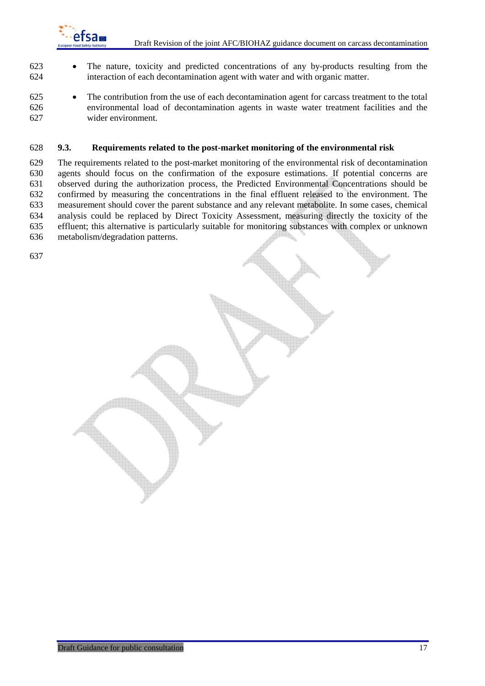

- 623 The nature, toxicity and predicted concentrations of any by-products resulting from the 624 interaction of each decontamination agent with water and with organic matter.
- 625 The contribution from the use of each decontamination agent for carcass treatment to the total 626 environmental load of decontamination agents in waste water treatment facilities and the 627 wider environment.

## 628 **9.3. Requirements related to the post-market monitoring of the environmental risk**

629 The requirements related to the post-market monitoring of the environmental risk of decontamination 630 agents should focus on the confirmation of the exposure estimations. If potential concerns are 631 observed during the authorization process, the Predicted Environmental Concentrations should be 632 confirmed by measuring the concentrations in the final effluent released to the environment. The 633 measurement should cover the parent substance and any relevant metabolite. In some cases, chemical 634 analysis could be replaced by Direct Toxicity Assessment, measuring directly the toxicity of the 635 effluent; this alternative is particularly suitable for monitoring substances with complex or unknown 636 metabolism/degradation patterns.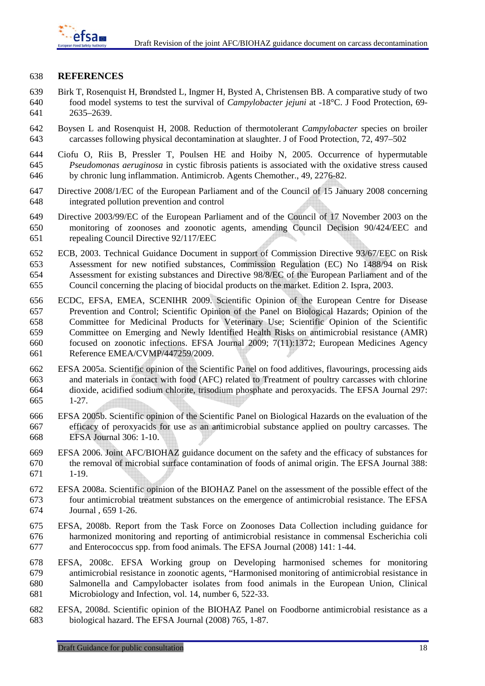

## 638 **REFERENCES**

- 639 Birk T, Rosenquist H, Brøndsted L, Ingmer H, Bysted A, Christensen BB. A comparative study of two 640 food model systems to test the survival of *Campylobacter jejuni* at -18°C. J Food Protection, 69- 641 2635–2639.
- 642 Boysen L and Rosenquist H, 2008. Reduction of thermotolerant *Campylobacter* species on broiler 643 carcasses following physical decontamination at slaughter. J of Food Protection, 72, 497–502
- 644 Ciofu O, Riis B, Pressler T, Poulsen HE and Hoiby N, 2005. Occurrence of hypermutable 645 *Pseudomonas aeruginosa* in cystic fibrosis patients is associated with the oxidative stress caused 646 by chronic lung inflammation. Antimicrob. Agents Chemother., 49, 2276-82.
- 647 Directive 2008/1/EC of the European Parliament and of the Council of 15 January 2008 concerning 648 integrated pollution prevention and control
- 649 Directive 2003/99/EC of the European Parliament and of the Council of 17 November 2003 on the 650 monitoring of zoonoses and zoonotic agents, amending Council Decision 90/424/EEC and 651 repealing Council Directive 92/117/EEC
- 652 ECB, 2003. Technical Guidance Document in support of Commission Directive 93/67/EEC on Risk 653 Assessment for new notified substances, Commission Regulation (EC) No 1488/94 on Risk 654 Assessment for existing substances and Directive 98/8/EC of the European Parliament and of the 655 Council concerning the placing of biocidal products on the market. Edition 2. Ispra, 2003.
- 656 ECDC, EFSA, EMEA, SCENIHR 2009. Scientific Opinion of the European Centre for Disease 657 Prevention and Control; Scientific Opinion of the Panel on Biological Hazards; Opinion of the 658 Committee for Medicinal Products for Veterinary Use; Scientific Opinion of the Scientific 659 Committee on Emerging and Newly Identified Health Risks on antimicrobial resistance (AMR) 660 focused on zoonotic infections. EFSA Journal 2009; 7(11):1372; European Medicines Agency 661 Reference EMEA/CVMP/447259/2009.
- 662 EFSA 2005a. Scientific opinion of the Scientific Panel on food additives, flavourings, processing aids 663 and materials in contact with food (AFC) related to Treatment of poultry carcasses with chlorine 664 dioxide, acidified sodium chlorite, trisodium phosphate and peroxyacids. The EFSA Journal 297: 665 1-27.
- 666 EFSA 2005b. Scientific opinion of the Scientific Panel on Biological Hazards on the evaluation of the 667 efficacy of peroxyacids for use as an antimicrobial substance applied on poultry carcasses. The 668 EFSA Journal 306: 1-10.
- 669 EFSA 2006. Joint AFC/BIOHAZ guidance document on the safety and the efficacy of substances for 670 the removal of microbial surface contamination of foods of animal origin. The EFSA Journal 388: 671 1-19.
- 672 EFSA 2008a. Scientific opinion of the BIOHAZ Panel on the assessment of the possible effect of the 673 four antimicrobial treatment substances on the emergence of antimicrobial resistance. The EFSA 674 Journal , 659 1-26.
- 675 EFSA, 2008b. Report from the Task Force on Zoonoses Data Collection including guidance for 676 harmonized monitoring and reporting of antimicrobial resistance in commensal Escherichia coli 677 and Enterococcus spp. from food animals. The EFSA Journal (2008) 141: 1-44.
- 678 EFSA, 2008c. EFSA Working group on Developing harmonised schemes for monitoring 679 antimicrobial resistance in zoonotic agents, "Harmonised monitoring of antimicrobial resistance in 680 Salmonella and Campylobacter isolates from food animals in the European Union, Clinical 681 Microbiology and Infection, vol. 14, number 6, 522-33.
- 682 EFSA, 2008d. Scientific opinion of the BIOHAZ Panel on Foodborne antimicrobial resistance as a 683 biological hazard. The EFSA Journal (2008) 765, 1-87.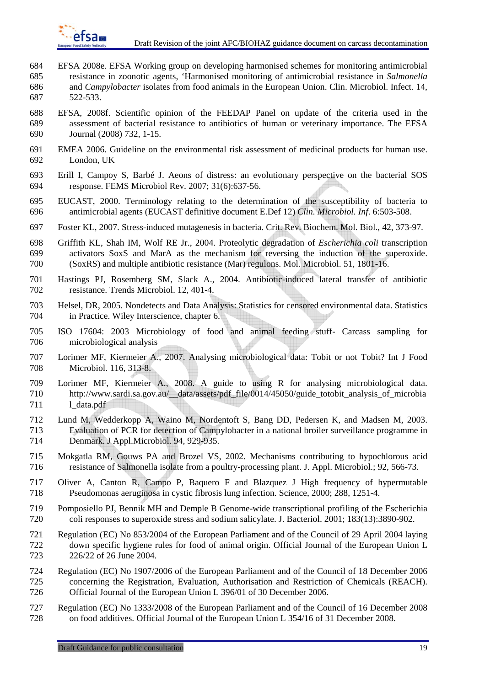

- 684 EFSA 2008e. EFSA Working group on developing harmonised schemes for monitoring antimicrobial 685 resistance in zoonotic agents, 'Harmonised monitoring of antimicrobial resistance in *Salmonella* 686 and *Campylobacter* isolates from food animals in the European Union. Clin. Microbiol. Infect. 14, 687 522-533.
- 688 EFSA, 2008f. Scientific opinion of the FEEDAP Panel on update of the criteria used in the 689 assessment of bacterial resistance to antibiotics of human or veterinary importance. The EFSA 690 Journal (2008) 732, 1-15.
- 691 EMEA 2006. Guideline on the environmental risk assessment of medicinal products for human use. 692 London, UK
- 693 Erill I, Campoy S, Barbé J. Aeons of distress: an evolutionary perspective on the bacterial SOS 694 response. FEMS Microbiol Rev. 2007; 31(6):637-56.
- 695 EUCAST, 2000. Terminology relating to the determination of the susceptibility of bacteria to 696 antimicrobial agents (EUCAST definitive document E.Def 12) *Clin. Microbiol. Inf*. 6:503-508.
- 697 Foster KL, 2007. Stress-induced mutagenesis in bacteria. Crit. Rev. Biochem. Mol. Biol., 42, 373-97.
- 698 Griffith KL, Shah IM, Wolf RE Jr., 2004. Proteolytic degradation of *Escherichia coli* transcription 699 activators SoxS and MarA as the mechanism for reversing the induction of the superoxide. 700 (SoxRS) and multiple antibiotic resistance (Mar) regulons. Mol. Microbiol. 51, 1801-16.
- 701 Hastings PJ, Rosemberg SM, Slack A., 2004. Antibiotic-induced lateral transfer of antibiotic 702 resistance. Trends Microbiol. 12, 401-4.
- 703 Helsel, DR, 2005. Nondetects and Data Analysis: Statistics for censored environmental data. Statistics 704 in Practice. Wiley Interscience, chapter 6.
- 705 ISO 17604: 2003 Microbiology of food and animal feeding stuff- Carcass sampling for 706 microbiological analysis
- 707 Lorimer MF, Kiermeier A., 2007. Analysing microbiological data: Tobit or not Tobit? Int J Food 708 Microbiol. 116, 313-8.
- 709 Lorimer MF, Kiermeier A., 2008. A guide to using R for analysing microbiological data. 710 http://www.sardi.sa.gov.au/\_\_data/assets/pdf\_file/0014/45050/guide\_totobit\_analysis\_of\_microbia 711 l\_data.pdf
- 712 Lund M, Wedderkopp A, Waino M, Nordentoft S, Bang DD, Pedersen K, and Madsen M, 2003. 713 Evaluation of PCR for detection of Campylobacter in a national broiler surveillance programme in 714 Denmark. J Appl.Microbiol. 94, 929-935.
- 715 Mokgatla RM, Gouws PA and Brozel VS, 2002. Mechanisms contributing to hypochlorous acid 716 resistance of Salmonella isolate from a poultry-processing plant. J. Appl. Microbiol.; 92, 566-73.
- 717 Oliver A, Canton R, Campo P, Baquero F and Blazquez J High frequency of hypermutable 718 Pseudomonas aeruginosa in cystic fibrosis lung infection. Science, 2000; 288, 1251-4.
- 719 Pomposiello PJ, Bennik MH and Demple B Genome-wide transcriptional profiling of the Escherichia 720 coli responses to superoxide stress and sodium salicylate. J. Bacteriol. 2001; 183(13):3890-902.
- 721 Regulation (EC) No 853/2004 of the European Parliament and of the Council of 29 April 2004 laying 722 down specific hygiene rules for food of animal origin. Official Journal of the European Union L 723 226/22 of 26 June 2004.
- 724 Regulation (EC) No 1907/2006 of the European Parliament and of the Council of 18 December 2006 725 concerning the Registration, Evaluation, Authorisation and Restriction of Chemicals (REACH). 726 Official Journal of the European Union L 396/01 of 30 December 2006.
- 727 Regulation (EC) No 1333/2008 of the European Parliament and of the Council of 16 December 2008 728 on food additives. Official Journal of the European Union L 354/16 of 31 December 2008.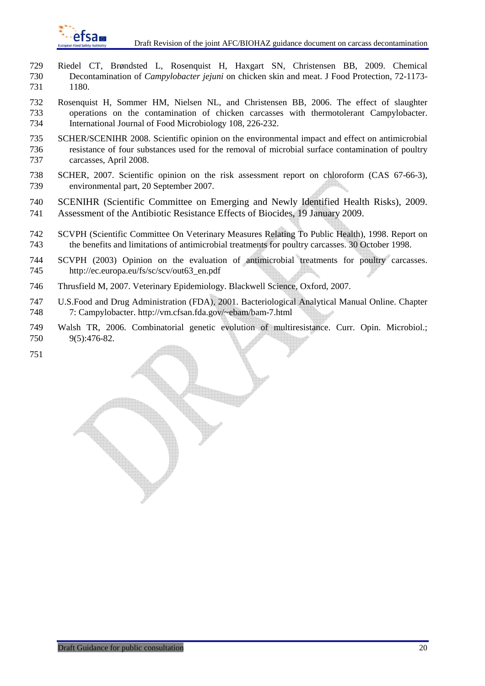

- 729 Riedel CT, Brøndsted L, Rosenquist H, Haxgart SN, Christensen BB, 2009. Chemical 730 Decontamination of *Campylobacter jejuni* on chicken skin and meat. J Food Protection, 72-1173- 731 1180.
- 732 Rosenquist H, Sommer HM, Nielsen NL, and Christensen BB, 2006. The effect of slaughter 733 operations on the contamination of chicken carcasses with thermotolerant Campylobacter. 734 International Journal of Food Microbiology 108, 226-232.
- 735 SCHER/SCENIHR 2008. Scientific opinion on the environmental impact and effect on antimicrobial 736 resistance of four substances used for the removal of microbial surface contamination of poultry 737 carcasses, April 2008.
- 738 SCHER, 2007. Scientific opinion on the risk assessment report on chloroform (CAS 67-66-3), 739 environmental part, 20 September 2007.
- 740 SCENIHR (Scientific Committee on Emerging and Newly Identified Health Risks), 2009. 741 Assessment of the Antibiotic Resistance Effects of Biocides, 19 January 2009.
- 742 SCVPH (Scientific Committee On Veterinary Measures Relating To Public Health), 1998. Report on 743 the benefits and limitations of antimicrobial treatments for poultry carcasses. 30 October 1998.
- 744 SCVPH (2003) Opinion on the evaluation of antimicrobial treatments for poultry carcasses. 745 http://ec.europa.eu/fs/sc/scv/out63\_en.pdf
- 746 Thrusfield M, 2007. Veterinary Epidemiology. Blackwell Science, Oxford, 2007.
- 747 U.S.Food and Drug Administration (FDA), 2001. Bacteriological Analytical Manual Online. Chapter 748 7: Campylobacter. http://vm.cfsan.fda.gov/~ebam/bam-7.html
- 749 Walsh TR, 2006. Combinatorial genetic evolution of multiresistance. Curr. Opin. Microbiol.; 750 9(5):476-82.
- 751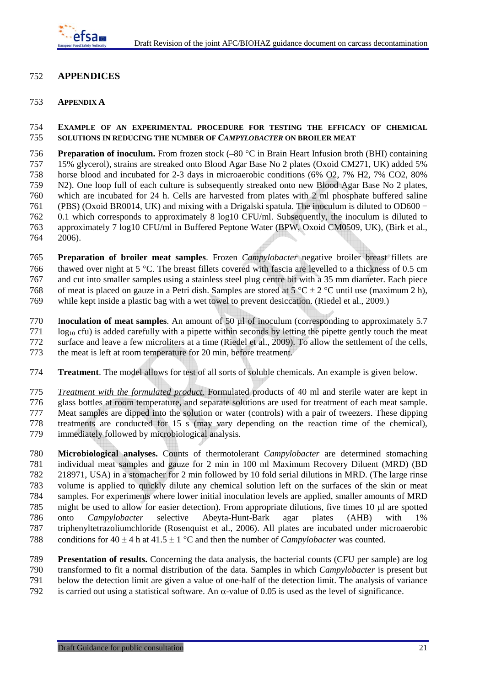

## 752 **APPENDICES**

## 753 **APPENDIX A**

## 754 **EXAMPLE OF AN EXPERIMENTAL PROCEDURE FOR TESTING THE EFFICACY OF CHEMICAL**  755 **SOLUTIONS IN REDUCING THE NUMBER OF** *CAMPYLOBACTER* **ON BROILER MEAT**

756 **Preparation of inoculum.** From frozen stock (–80 °C in Brain Heart Infusion broth (BHI) containing 757 15% glycerol), strains are streaked onto Blood Agar Base No 2 plates (Oxoid CM271, UK) added 5% 758 horse blood and incubated for 2-3 days in microaerobic conditions (6% O2, 7% H2, 7% CO2, 80% 759 N2). One loop full of each culture is subsequently streaked onto new Blood Agar Base No 2 plates, 760 which are incubated for 24 h. Cells are harvested from plates with 2 ml phosphate buffered saline 761 (PBS) (Oxoid BR0014, UK) and mixing with a Drigalski spatula. The inoculum is diluted to OD600 = 762 0.1 which corresponds to approximately 8 log10 CFU/ml. Subsequently, the inoculum is diluted to 763 approximately 7 log10 CFU/ml in Buffered Peptone Water (BPW, Oxoid CM0509, UK), (Birk et al., 764 2006).

765 **Preparation of broiler meat samples**. Frozen *Campylobacter* negative broiler breast fillets are 766 thawed over night at 5 °C. The breast fillets covered with fascia are levelled to a thickness of 0.5 cm 767 and cut into smaller samples using a stainless steel plug centre bit with a 35 mm diameter. Each piece 768 of meat is placed on gauze in a Petri dish. Samples are stored at  $5^{\circ}$ C  $\pm$  2  $^{\circ}$ C until use (maximum 2 h), 769 while kept inside a plastic bag with a wet towel to prevent desiccation. (Riedel et al., 2009.)

770 I**noculation of meat samples**. An amount of 50 µl of inoculum (corresponding to approximately 5.7  $771$  log<sub>10</sub> cfu) is added carefully with a pipette within seconds by letting the pipette gently touch the meat 772 surface and leave a few microliters at a time (Riedel et al., 2009). To allow the settlement of the cells,

773 the meat is left at room temperature for 20 min, before treatment.

774 **Treatment**. The model allows for test of all sorts of soluble chemicals. An example is given below.

775 *Treatment with the formulated product.* Formulated products of 40 ml and sterile water are kept in 776 glass bottles at room temperature, and separate solutions are used for treatment of each meat sample.

777 Meat samples are dipped into the solution or water (controls) with a pair of tweezers. These dipping

- 778 treatments are conducted for 15 s (may vary depending on the reaction time of the chemical),
- 779 immediately followed by microbiological analysis.

780 **Microbiological analyses.** Counts of thermotolerant *Campylobacter* are determined stomaching 781 individual meat samples and gauze for 2 min in 100 ml Maximum Recovery Diluent (MRD) (BD 782 218971, USA) in a stomacher for 2 min followed by 10 fold serial dilutions in MRD. (The large rinse 783 volume is applied to quickly dilute any chemical solution left on the surfaces of the skin or meat 784 samples. For experiments where lower initial inoculation levels are applied, smaller amounts of MRD 785 might be used to allow for easier detection). From appropriate dilutions, five times 10 μl are spotted 786 onto *Campylobacter* selective Abeyta-Hunt-Bark agar plates (AHB) with 1% 787 triphenyltetrazoliumchloride (Rosenquist et al., 2006). All plates are incubated under microaerobic 788 conditions for  $40 \pm 4$  h at  $41.5 \pm 1$  °C and then the number of *Campylobacter* was counted.

789 **Presentation of results.** Concerning the data analysis, the bacterial counts (CFU per sample) are log 790 transformed to fit a normal distribution of the data. Samples in which *Campylobacter* is present but 791 below the detection limit are given a value of one-half of the detection limit. The analysis of variance 792 is carried out using a statistical software. An  $\alpha$ -value of 0.05 is used as the level of significance.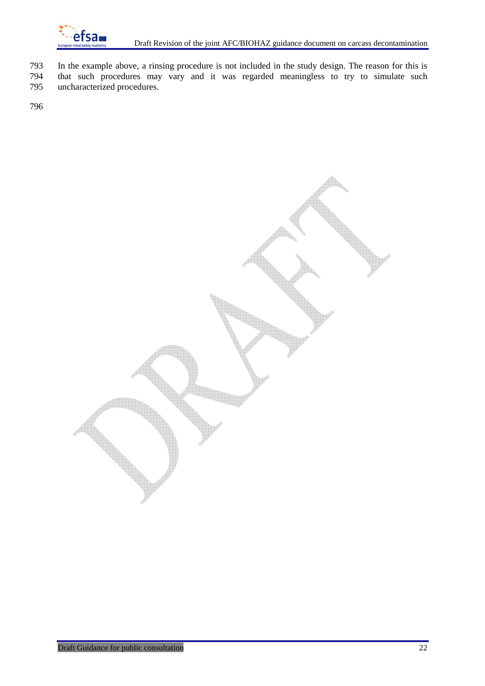

793 In the example above, a rinsing procedure is not included in the study design. The reason for this is 794 that such procedures may vary and it was regarded meaningless to try to simulate such uncharacterized procedures.

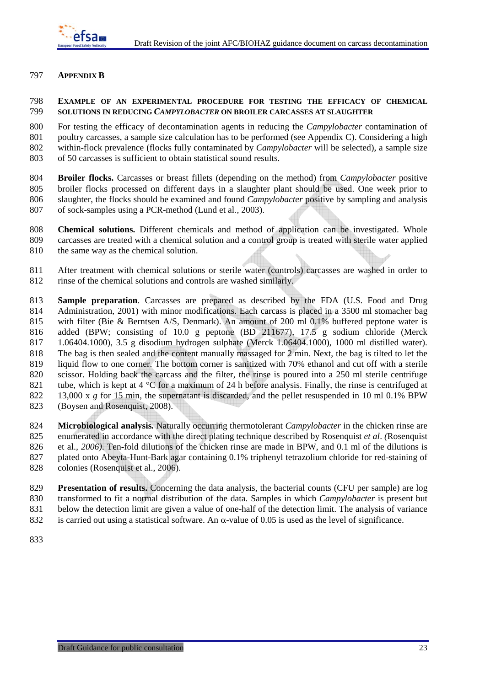

## 797 **APPENDIX B**

## 798 **EXAMPLE OF AN EXPERIMENTAL PROCEDURE FOR TESTING THE EFFICACY OF CHEMICAL**  799 **SOLUTIONS IN REDUCING** *CAMPYLOBACTER* **ON BROILER CARCASSES AT SLAUGHTER**

800 For testing the efficacy of decontamination agents in reducing the *Campylobacter* contamination of 801 poultry carcasses, a sample size calculation has to be performed (see Appendix C). Considering a high 802 within-flock prevalence (flocks fully contaminated by *Campylobacter* will be selected), a sample size 803 of 50 carcasses is sufficient to obtain statistical sound results.

804 **Broiler flocks.** Carcasses or breast fillets (depending on the method) from *Campylobacter* positive 805 broiler flocks processed on different days in a slaughter plant should be used. One week prior to 806 slaughter, the flocks should be examined and found *Campylobacter* positive by sampling and analysis 807 of sock-samples using a PCR-method (Lund et al*.*, 2003).

808 **Chemical solutions.** Different chemicals and method of application can be investigated. Whole 809 carcasses are treated with a chemical solution and a control group is treated with sterile water applied 810 the same way as the chemical solution.

811 After treatment with chemical solutions or sterile water (controls) carcasses are washed in order to 812 rinse of the chemical solutions and controls are washed similarly.

813 **Sample preparation**. Carcasses are prepared as described by the FDA (U.S. Food and Drug 814 Administration, 2001) with minor modifications. Each carcass is placed in a 3500 ml stomacher bag 815 with filter (Bie & Berntsen A/S, Denmark). An amount of 200 ml 0.1% buffered peptone water is 816 added (BPW; consisting of 10.0 g peptone (BD 211677), 17.5 g sodium chloride (Merck 817 1.06404.1000), 3.5 g disodium hydrogen sulphate (Merck 1.06404.1000), 1000 ml distilled water). 818 The bag is then sealed and the content manually massaged for 2 min. Next, the bag is tilted to let the 819 liquid flow to one corner. The bottom corner is sanitized with 70% ethanol and cut off with a sterile 820 scissor. Holding back the carcass and the filter, the rinse is poured into a 250 ml sterile centrifuge 821 tube, which is kept at  $4 \text{ }^{\circ}\text{C}$  for a maximum of 24 h before analysis. Finally, the rinse is centrifuged at 822 13,000 x *g* for 15 min, the supernatant is discarded, and the pellet resuspended in 10 ml 0.1% BPW 823 (Boysen and Rosenquist, 2008).

824 **Microbiological analysis***.* Naturally occurring thermotolerant *Campylobacter* in the chicken rinse are 825 enumerated in accordance with the direct plating technique described by Rosenquist *et al*. *(*Rosenquist 826 et al.*, 2006)*. Ten-fold dilutions of the chicken rinse are made in BPW, and 0.1 ml of the dilutions is 827 plated onto Abeyta-Hunt-Bark agar containing 0.1% triphenyl tetrazolium chloride for red-staining of 828 colonies (Rosenquist et al., 2006).

829 **Presentation of results.** Concerning the data analysis, the bacterial counts (CFU per sample) are log 830 transformed to fit a normal distribution of the data. Samples in which *Campylobacter* is present but 831 below the detection limit are given a value of one-half of the detection limit. The analysis of variance 832 is carried out using a statistical software. An  $\alpha$ -value of 0.05 is used as the level of significance.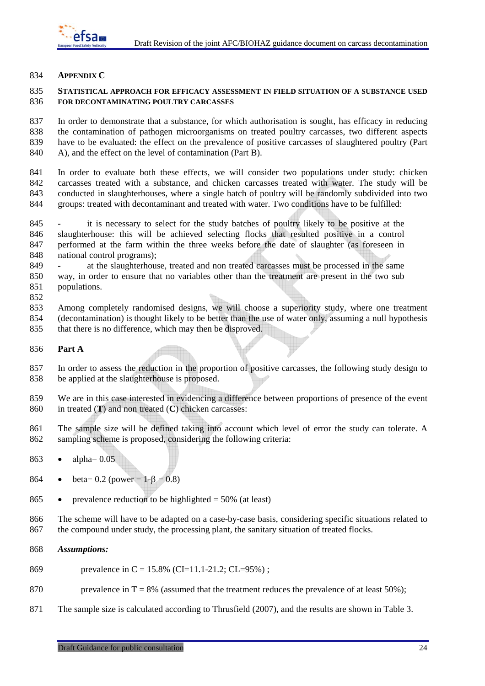

## 834 **APPENDIX C**

## 835 **STATISTICAL APPROACH FOR EFFICACY ASSESSMENT IN FIELD SITUATION OF A SUBSTANCE USED**  836 **FOR DECONTAMINATING POULTRY CARCASSES**

837 In order to demonstrate that a substance, for which authorisation is sought, has efficacy in reducing 838 the contamination of pathogen microorganisms on treated poultry carcasses, two different aspects 839 have to be evaluated: the effect on the prevalence of positive carcasses of slaughtered poultry (Part 840 A), and the effect on the level of contamination (Part B).

841 In order to evaluate both these effects, we will consider two populations under study: chicken 842 carcasses treated with a substance, and chicken carcasses treated with water. The study will be 843 conducted in slaughterhouses, where a single batch of poultry will be randomly subdivided into two 844 groups: treated with decontaminant and treated with water. Two conditions have to be fulfilled:

845 - it is necessary to select for the study batches of poultry likely to be positive at the 846 slaughterhouse: this will be achieved selecting flocks that resulted positive in a control 847 performed at the farm within the three weeks before the date of slaughter (as foreseen in 848 national control programs);

849 - at the slaughterhouse, treated and non treated carcasses must be processed in the same 850 way, in order to ensure that no variables other than the treatment are present in the two sub 851 populations.

852

853 Among completely randomised designs, we will choose a superiority study, where one treatment 854 (decontamination) is thought likely to be better than the use of water only, assuming a null hypothesis 855 that there is no difference, which may then be disproved.

- 856 **Part A**
- 857 In order to assess the reduction in the proportion of positive carcasses, the following study design to 858 be applied at the slaughterhouse is proposed.
- 859 We are in this case interested in evidencing a difference between proportions of presence of the event 860 in treated (**T**) and non treated (**C**) chicken carcasses:
- 861 The sample size will be defined taking into account which level of error the study can tolerate. A 862 sampling scheme is proposed, considering the following criteria:
- 863 alpha= 0.05
- 864 beta= 0.2 (power =  $1-\beta$  = 0.8)
- 865 prevalence reduction to be highlighted  $= 50\%$  (at least)

866 The scheme will have to be adapted on a case-by-case basis, considering specific situations related to 867 the compound under study, the processing plant, the sanitary situation of treated flocks.

- 868 *Assumptions:*
- 869 prevalence in C = 15.8% (CI=11.1-21.2; CL=95%);
- 870 prevalence in  $T = 8\%$  (assumed that the treatment reduces the prevalence of at least 50%);
- 871 The sample size is calculated according to Thrusfield (2007), and the results are shown in Table 3.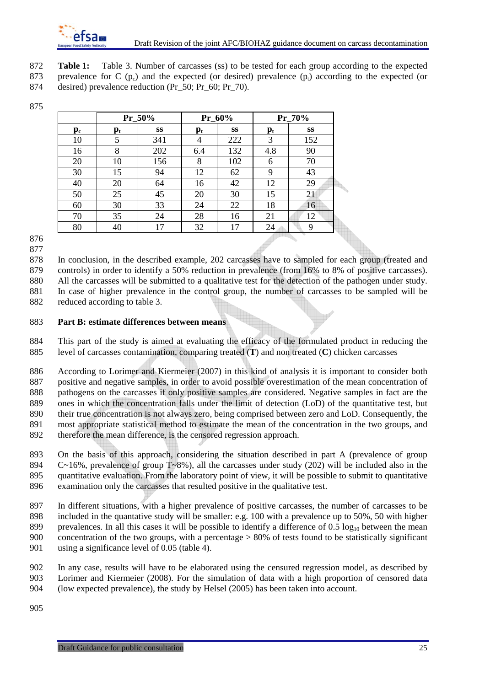

872 **Table 1:** Table 3. Number of carcasses (ss) to be tested for each group according to the expected

873 prevalence for C  $(p_c)$  and the expected (or desired) prevalence  $(p_t)$  according to the expected (or

874 desired) prevalence reduction (Pr\_50; Pr\_60; Pr\_70).

|                      |                         | Pr 50% |                         | Pr 60% | Pr 70%                  |     |  |  |
|----------------------|-------------------------|--------|-------------------------|--------|-------------------------|-----|--|--|
| $\mathbf{p}_{\rm c}$ | $\mathbf{p}_{\text{t}}$ | SS     | $\mathbf{p}_{\text{t}}$ | SS     | $\mathbf{p}_{\text{t}}$ | SS  |  |  |
| 10                   | 5                       | 341    | $\overline{4}$          | 222    | 3                       | 152 |  |  |
| 16                   | 8                       | 202    | 6.4                     | 132    | 4.8                     | 90  |  |  |
| 20                   | 10                      | 156    | 8                       | 102    | 6                       | 70  |  |  |
| 30                   | 15                      | 94     | 12                      | 62     | 9                       | 43  |  |  |
| 40                   | 20                      | 64     | 16                      | 42     | 12                      | 29  |  |  |
| 50                   | 25                      | 45     | 20                      | 30     | 15                      | 21  |  |  |
| 60                   | 30                      | 33     | 24                      | 22     | 18                      | 16  |  |  |
| 70                   | 35                      | 24     | 28                      | 16     | 21                      | 12  |  |  |
| 80                   | 40                      | 17     | 32                      | 17     | 24                      | 9   |  |  |

876 877

878 In conclusion, in the described example, 202 carcasses have to sampled for each group (treated and

879 controls) in order to identify a 50% reduction in prevalence (from 16% to 8% of positive carcasses).

880 All the carcasses will be submitted to a qualitative test for the detection of the pathogen under study.

881 In case of higher prevalence in the control group, the number of carcasses to be sampled will be

882 reduced according to table 3.

## 883 **Part B: estimate differences between means**

884 This part of the study is aimed at evaluating the efficacy of the formulated product in reducing the 885 level of carcasses contamination, comparing treated (**T**) and non treated (**C**) chicken carcasses

886 According to Lorimer and Kiermeier (2007) in this kind of analysis it is important to consider both 887 positive and negative samples, in order to avoid possible overestimation of the mean concentration of 888 pathogens on the carcasses if only positive samples are considered. Negative samples in fact are the 889 ones in which the concentration falls under the limit of detection (LoD) of the quantitative test, but 890 their true concentration is not always zero, being comprised between zero and LoD. Consequently, the 891 most appropriate statistical method to estimate the mean of the concentration in the two groups, and

892 therefore the mean difference, is the censored regression approach.

893 On the basis of this approach, considering the situation described in part A (prevalence of group 894 C $\sim$ 16%, prevalence of group T $\sim$ 8%), all the carcasses under study (202) will be included also in the 895 quantitative evaluation. From the laboratory point of view, it will be possible to submit to quantitative 896 examination only the carcasses that resulted positive in the qualitative test.

897 In different situations, with a higher prevalence of positive carcasses, the number of carcasses to be 898 included in the quantative study will be smaller: e.g. 100 with a prevalence up to 50%, 50 with higher 899 prevalences. In all this cases it will be possible to identify a difference of  $0.5 \log_{10}$  between the mean 900 concentration of the two groups, with a percentage > 80% of tests found to be statistically significant 901 using a significance level of 0.05 (table 4).

902 In any case, results will have to be elaborated using the censured regression model, as described by 903 Lorimer and Kiermeier (2008). For the simulation of data with a high proportion of censored data 904 (low expected prevalence), the study by Helsel (2005) has been taken into account.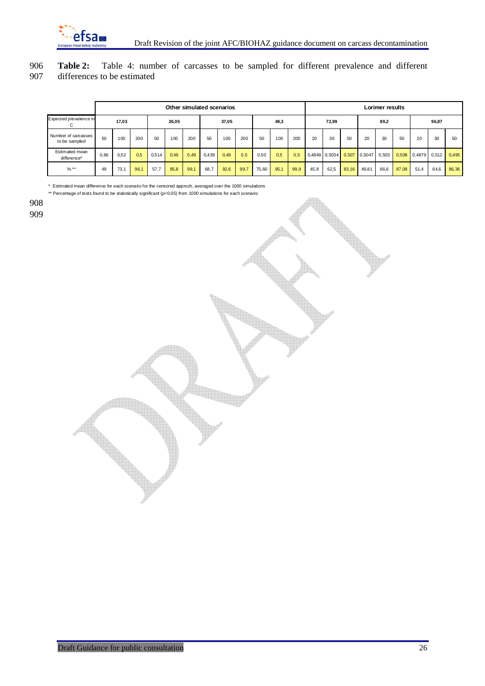

908 909

## 906 **Table 2:** Table 4: number of carcasses to be sampled for different prevalence and different 907 differences to be estimated

|                                      | Other simulated scenarios |      |       |       |       |      |       |      |       |       | Lorimer results |      |      |                   |       |        |       |       |        |       |       |
|--------------------------------------|---------------------------|------|-------|-------|-------|------|-------|------|-------|-------|-----------------|------|------|-------------------|-------|--------|-------|-------|--------|-------|-------|
| Expected prevalence in<br>С          | 17,03                     |      | 26.05 |       | 37,05 |      | 49,3  |      | 72,99 |       |                 | 89,2 |      |                   | 96,87 |        |       |       |        |       |       |
| Number of carcasses<br>to be sampled | 50                        | 100  | 200   | 50    | 100   | 200  | 50    | 100  | 200   | 50    | 100             | 200  | 20   | 30                | 50    | 20     | 30    | 50    | 20     | 30    | 50    |
| Estimated mean<br>difference*        | 0,66                      | 0,52 | 0,5   | 0,514 | 0,49  | 0,49 | 0,439 | 0,49 | 0.5   | 0,50  | 0.5             | 0,5  |      | $0,4849$ $0,5034$ | 0,507 | 0,5047 | 0,503 | 0,508 | 0,4879 | 0,512 | 0.495 |
| $%$ **                               | 49                        | 73.1 | 96,1  | 57,7  | 85,8  | 99,1 | 68.7  | 92.6 | 99,7  | 75,60 | 95,1            | 99,9 | 45,8 | 62,5              | 83,16 | 49.81  | 66,6  | 87,08 | 51,4   | 64,6  | 86,36 |

\* Estimated mean difference for each scenario for the censored approch, averaged over the 1000 simulations \*\* Percentage of tests found to be statistically significant (p<0.05) from 1000 simulations for each scenario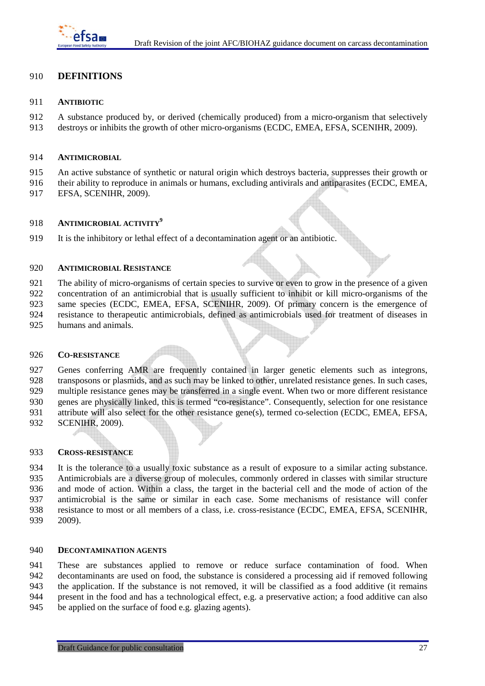

## 910 **DEFINITIONS**

## 911 **ANTIBIOTIC**

912 A substance produced by, or derived (chemically produced) from a micro-organism that selectively 913 destroys or inhibits the growth of other micro-organisms (ECDC, EMEA, EFSA, SCENIHR, 2009).

#### 914 **ANTIMICROBIAL**

915 An active substance of synthetic or natural origin which destroys bacteria, suppresses their growth or

- 916 their ability to reproduce in animals or humans, excluding antivirals and antiparasites (ECDC, EMEA,
- 917 EFSA, SCENIHR, 2009).

## **ANTIMICROBIAL ACTIVITY<sup>9</sup>** 918

919 It is the inhibitory or lethal effect of a decontamination agent or an antibiotic.

#### 920 **ANTIMICROBIAL RESISTANCE**

921 The ability of micro-organisms of certain species to survive or even to grow in the presence of a given

922 concentration of an antimicrobial that is usually sufficient to inhibit or kill micro-organisms of the

923 same species (ECDC, EMEA, EFSA, SCENIHR, 2009). Of primary concern is the emergence of

- 924 resistance to therapeutic antimicrobials, defined as antimicrobials used for treatment of diseases in
- 925 humans and animals.

## 926 **CO-RESISTANCE**

927 Genes conferring AMR are frequently contained in larger genetic elements such as integrons, 928 transposons or plasmids, and as such may be linked to other, unrelated resistance genes. In such cases, 929 multiple resistance genes may be transferred in a single event. When two or more different resistance 930 genes are physically linked, this is termed "co-resistance". Consequently, selection for one resistance 931 attribute will also select for the other resistance gene(s), termed co-selection (ECDC, EMEA, EFSA, 932 SCENIHR, 2009).

933 **CROSS-RESISTANCE**

934 It is the tolerance to a usually toxic substance as a result of exposure to a similar acting substance. 935 Antimicrobials are a diverse group of molecules, commonly ordered in classes with similar structure 936 and mode of action. Within a class, the target in the bacterial cell and the mode of action of the 937 antimicrobial is the same or similar in each case. Some mechanisms of resistance will confer 938 resistance to most or all members of a class, i.e. cross-resistance (ECDC, EMEA, EFSA, SCENIHR, 939 2009).

940 **DECONTAMINATION AGENTS**

941 These are substances applied to remove or reduce surface contamination of food. When 942 decontaminants are used on food, the substance is considered a processing aid if removed following 943 the application. If the substance is not removed, it will be classified as a food additive (it remains 944 present in the food and has a technological effect, e.g. a preservative action; a food additive can also 945 be applied on the surface of food e.g. glazing agents).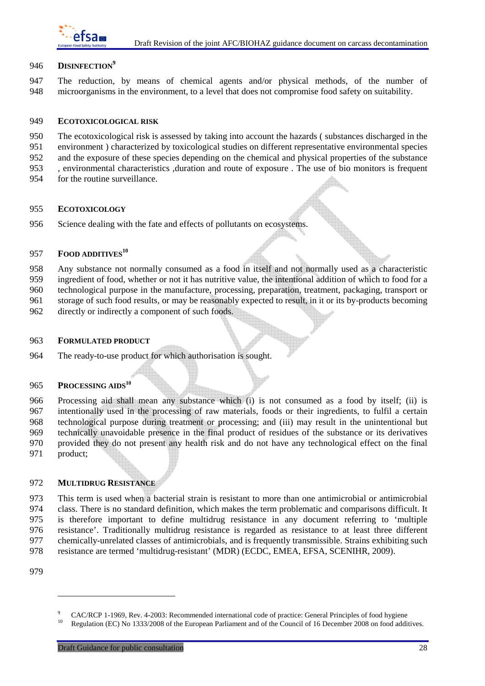

## 946 **DISINFECTION**<sup>9</sup>

947 The reduction, by means of chemical agents and/or physical methods, of the number of 948 microorganisms in the environment, to a level that does not compromise food safety on suitability.

#### 949 **ECOTOXICOLOGICAL RISK**

950 The ecotoxicological risk is assessed by taking into account the hazards ( substances discharged in the 951 environment ) characterized by toxicological studies on different representative environmental species 952 and the exposure of these species depending on the chemical and physical properties of the substance

953 , environmental characteristics ,duration and route of exposure . The use of bio monitors is frequent

954 for the routine surveillance.

## 955 **ECOTOXICOLOGY**

956 Science dealing with the fate and effects of pollutants on ecosystems.

#### **FOOD ADDITIVES<sup>10</sup>** 957

- 958 Any substance not normally consumed as a food in itself and not normally used as a characteristic
- 959 ingredient of food, whether or not it has nutritive value, the intentional addition of which to food for a
- 960 technological purpose in the manufacture, processing, preparation, treatment, packaging, transport or
- 961 storage of such food results, or may be reasonably expected to result, in it or its by-products becoming
- 962 directly or indirectly a component of such foods.

#### 963 **FORMULATED PRODUCT**

964 The ready-to-use product for which authorisation is sought.

## 965 **PROCESSING AIDS<sup>10</sup>**

966 Processing aid shall mean any substance which (i) is not consumed as a food by itself; (ii) is 967 intentionally used in the processing of raw materials, foods or their ingredients, to fulfil a certain 968 technological purpose during treatment or processing; and (iii) may result in the unintentional but 969 technically unavoidable presence in the final product of residues of the substance or its derivatives 970 provided they do not present any health risk and do not have any technological effect on the final 971 product;

## 972 **MULTIDRUG RESISTANCE**

973 This term is used when a bacterial strain is resistant to more than one antimicrobial or antimicrobial 974 class. There is no standard definition, which makes the term problematic and comparisons difficult. It 975 is therefore important to define multidrug resistance in any document referring to 'multiple 976 resistance'. Traditionally multidrug resistance is regarded as resistance to at least three different 977 chemically-unrelated classes of antimicrobials, and is frequently transmissible. Strains exhibiting such 978 resistance are termed 'multidrug-resistant' (MDR) (ECDC, EMEA, EFSA, SCENIHR, 2009).

979

 $\overline{\phantom{a}}$ 

<sup>9</sup> CAC/RCP 1-1969, Rev. 4-2003: Recommended international code of practice: General Principles of food hygiene

Regulation (EC) No 1333/2008 of the European Parliament and of the Council of 16 December 2008 on food additives.